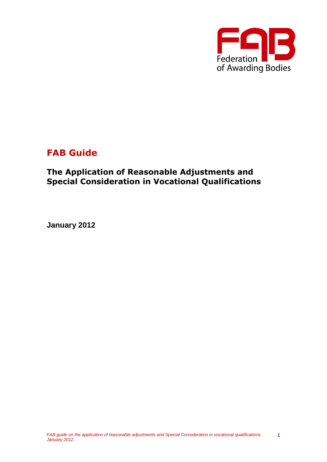

# **FAB Guide**

# **The Application of Reasonable Adjustments and Special Consideration in Vocational Qualifications**

**January 2012**

1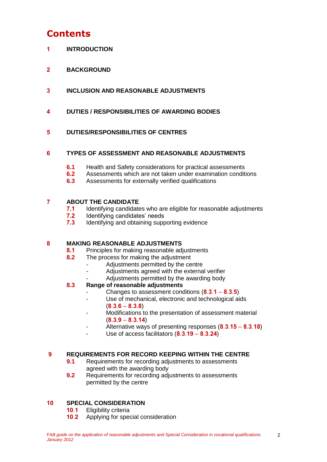# **Contents**

- **1 INTRODUCTION**
- **2 BACKGROUND**
- **3 INCLUSION AND REASONABLE ADJUSTMENTS**
- **4 DUTIES / RESPONSIBILITIES OF AWARDING BODIES**

### **5 DUTIES/RESPONSIBILITIES OF CENTRES**

### **6 TYPES OF ASSESSMENT AND REASONABLE ADJUSTMENTS**

- **6.1** Health and Safety considerations for practical assessments
- **6.2** Assessments which are not taken under examination conditions
- **6.3** Assessments for externally verified qualifications

### **7 ABOUT THE CANDIDATE**

- **7.1** Identifying candidates who are eligible for reasonable adjustments
- **7.2** Identifying candidates' needs
- **7.3** Identifying and obtaining supporting evidence

### **8 MAKING REASONABLE ADJUSTMENTS**

- **8.1** Principles for making reasonable adjustments
- **8.2** The process for making the adjustment
	- Adjustments permitted by the centre
	- Adjustments agreed with the external verifier
	- Adjustments permitted by the awarding body

### **8.3 Range of reasonable adjustments**

- Changes to assessment conditions (**8**.**3**.**1 8**.**3**.**5**)
- Use of mechanical, electronic and technological aids (**8**.**3**.**6** – **8**.**3**.**8**)
- Modifications to the presentation of assessment material (**8**.**3**.**9** – **8**.**3**.**14**)
- Alternative ways of presenting responses (**8**.**3**.**15 8**.**3**.**18**)
- Use of access facilitators (**8**.**3**.**19 8**.**3**.**24**)

### **9 REQUIREMENTS FOR RECORD KEEPING WITHIN THE CENTRE**

- **9.1** Requirements for recording adjustments to assessments agreed with the awarding body
- **9.2** Requirements for recording adjustments to assessments permitted by the centre

### **10 SPECIAL CONSIDERATION**

- **10**.**1** Eligibility criteria
- **10**.**2** Applying for special consideration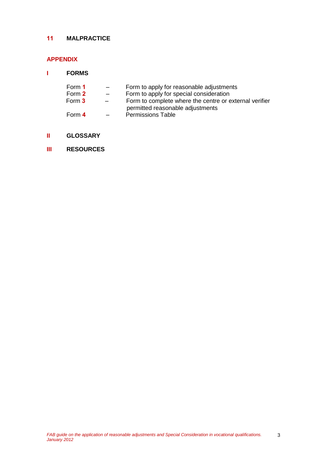### **11 MALPRACTICE**

## **APPENDIX**

| <b>FORMS</b> |  |
|--------------|--|
|              |  |

| Form 1 | $\sim$                   | Form to apply for reasonable adjustments               |
|--------|--------------------------|--------------------------------------------------------|
| Form 2 | $ -$                     | Form to apply for special consideration                |
| Form 3 | $\overline{\phantom{0}}$ | Form to complete where the centre or external verifier |
|        |                          | permitted reasonable adjustments                       |
| Form 4 |                          | <b>Permissions Table</b>                               |

- **II GLOSSARY**
- **III RESOURCES**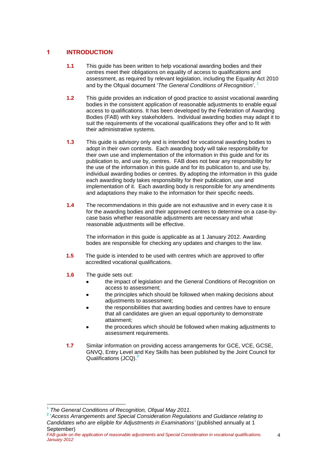### **1 INTRODUCTION**

- **1.1** This guide has been written to help vocational awarding bodies and their centres meet their obligations on equality of access to qualifications and assessment, as required by relevant legislation, including the Equality Act 2010 and by the Ofqual document '*The General Conditions of Recognition*'. 1
- **1.2** This guide provides an indication of good practice to assist vocational awarding bodies in the consistent application of reasonable adjustments to enable equal access to qualifications. It has been developed by the Federation of Awarding Bodies (FAB) with key stakeholders. Individual awarding bodies may adapt it to suit the requirements of the vocational qualifications they offer and to fit with their administrative systems.
- **1.3** This guide is advisory only and is intended for vocational awarding bodies to adopt in their own contexts. Each awarding body will take responsibility for their own use and implementation of the information in this guide and for its publication to, and use by, centres. FAB does not bear any responsibility for the use of the information in this guide and for its publication to, and use by, individual awarding bodies or centres. By adopting the information in this guide each awarding body takes responsibility for their publication, use and implementation of it. Each awarding body is responsible for any amendments and adaptations they make to the information for their specific needs.
- **1.4** The recommendations in this guide are not exhaustive and in every case it is for the awarding bodies and their approved centres to determine on a case-bycase basis whether reasonable adjustments are necessary and what reasonable adjustments will be effective.

The information in this guide is applicable as at 1 January 2012. Awarding bodes are responsible for checking any updates and changes to the law.

- **1.5** The guide is intended to be used with centres which are approved to offer accredited vocational qualifications.
- **1.6** The guide sets out:
	- the impact of legislation and the General Conditions of Recognition on access to assessment;
	- the principles which should be followed when making decisions about adjustments to assessment;
	- the responsibilities that awarding bodies and centres have to ensure that all candidates are given an equal opportunity to demonstrate attainment;
	- the procedures which should be followed when making adjustments to assessment requirements.
- **1.7** Similar information on providing access arrangements for GCE, VCE, GCSE, GNVQ, Entry Level and Key Skills has been published by the Joint Council for Qualifications (JCQ).**<sup>2</sup>**

j

**<sup>1</sup>** *The General Conditions of Recognition, Ofqual May 2011*.

**<sup>2</sup>** '*Access Arrangements and Special Consideration Regulations and Guidance relating to Candidates who are eligible for Adjustments in Examinations'* (published annually at 1 September)

*FAB guide on the application of reasonable adjustments and Special Consideration in vocational qualifications. January 2012*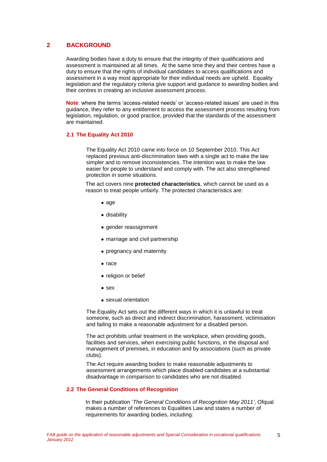### **2 BACKGROUND**

Awarding bodies have a duty to ensure that the integrity of their qualifications and assessment is maintained at all times. At the same time they and their centres have a duty to ensure that the rights of individual candidates to access qualifications and assessment in a way most appropriate for their individual needs are upheld. Equality legislation and the regulatory criteria give support and guidance to awarding bodies and their centres in creating an inclusive assessment process.

**Note**: where the terms 'access-related needs' or 'access-related issues' are used in this guidance, they refer to any entitlement to access the assessment process resulting from legislation, regulation, or good practice, provided that the standards of the assessment are maintained.

### **2.1 The Equality Act 2010**

The Equality Act 2010 came into force on 10 September 2010. This Act replaced previous anti-discrimination laws with a single act to make the law simpler and to remove inconsistencies. The intention was to make the law easier for people to understand and comply with. The act also strengthened protection in some situations.

The act covers nine **protected characteristics**, which cannot be used as a reason to treat people unfairly. The protected characteristics are:

- $\bullet$  age
- disability
- gender reassignment
- marriage and civil partnership
- pregnancy and maternity
- $\bullet$  race
- religion or belief
- $\bullet$  sex
- sexual orientation

The Equality Act sets out the different ways in which it is unlawful to treat someone, such as direct and indirect discrimination, harassment, victimisation and failing to make a reasonable adjustment for a disabled person.

The act prohibits unfair treatment in the workplace, when providing goods, facilities and services, when exercising public functions, in the disposal and management of premises, in education and by associations (such as private clubs).

The Act require awarding bodies to make reasonable adjustments to assessment arrangements which place disabled candidates at a substantial disadvantage in comparison to candidates who are not disabled.

#### **2.2 The General Conditions of Recognition**

In their publication '*The General Conditions of Recognition May 2011'*, Ofqual makes a number of references to Equalities Law and states a number of requirements for awarding bodies, including:

5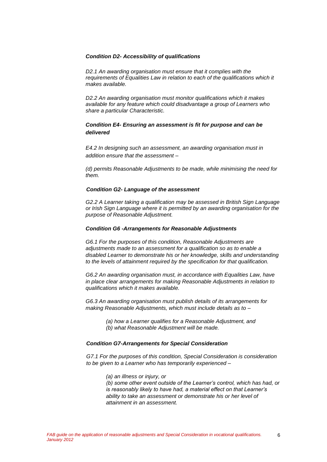#### *Condition D2- Accessibility of qualifications*

*D2.1 An awarding organisation must ensure that it complies with the requirements of Equalities Law in relation to each of the qualifications which it makes available.*

*D2.2 An awarding organisation must monitor qualifications which it makes available for any feature which could disadvantage a group of Learners who share a particular Characteristic.*

### *Condition E4- Ensuring an assessment is fit for purpose and can be delivered*

*E4.2 In designing such an assessment, an awarding organisation must in addition ensure that the assessment –*

*(d) permits Reasonable Adjustments to be made, while minimising the need for them.*

#### *Condition G2- Language of the assessment*

*G2.2 A Learner taking a qualification may be assessed in British Sign Language or Irish Sign Language where it is permitted by an awarding organisation for the purpose of Reasonable Adjustment.*

#### *Condition G6 -Arrangements for Reasonable Adjustments*

*G6.1 For the purposes of this condition, Reasonable Adjustments are adjustments made to an assessment for a qualification so as to enable a disabled Learner to demonstrate his or her knowledge, skills and understanding to the levels of attainment required by the specification for that qualification.*

*G6.2 An awarding organisation must, in accordance with Equalities Law, have in place clear arrangements for making Reasonable Adjustments in relation to qualifications which it makes available.*

*G6.3 An awarding organisation must publish details of its arrangements for making Reasonable Adjustments, which must include details as to –*

> *(a) how a Learner qualifies for a Reasonable Adjustment, and (b) what Reasonable Adjustment will be made.*

#### *Condition G7-Arrangements for Special Consideration*

*G7.1 For the purposes of this condition, Special Consideration is consideration to be given to a Learner who has temporarily experienced –*

*(a) an illness or injury, or*

*(b) some other event outside of the Learner's control, which has had, or is reasonably likely to have had, a material effect on that Learner's ability to take an assessment or demonstrate his or her level of attainment in an assessment.*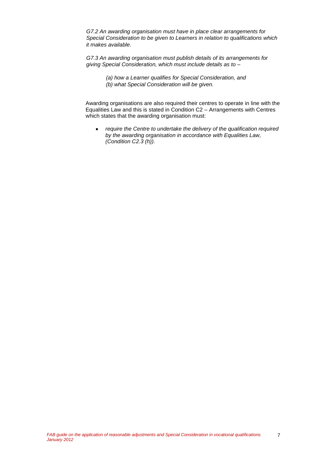*G7.2 An awarding organisation must have in place clear arrangements for Special Consideration to be given to Learners in relation to qualifications which it makes available.*

*G7.3 An awarding organisation must publish details of its arrangements for giving Special Consideration, which must include details as to –*

> *(a) how a Learner qualifies for Special Consideration, and (b) what Special Consideration will be given.*

Awarding organisations are also required their centres to operate in line with the Equalities Law and this is stated in Condition C2 – Arrangements with Centres which states that the awarding organisation must:

*require the Centre to undertake the delivery of the qualification required*   $\bullet$ *by the awarding organisation in accordance with Equalities Law, (Condition C2.3 (h)).*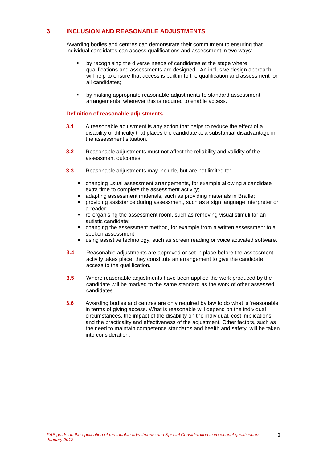### **3 INCLUSION AND REASONABLE ADJUSTMENTS**

Awarding bodies and centres can demonstrate their commitment to ensuring that individual candidates can access qualifications and assessment in two ways:

- **•** by recognising the diverse needs of candidates at the stage where qualifications and assessments are designed. An inclusive design approach will help to ensure that access is built in to the qualification and assessment for all candidates;
- by making appropriate reasonable adjustments to standard assessment arrangements, wherever this is required to enable access.

#### **Definition of reasonable adjustments**

- **3.1** A reasonable adjustment is any action that helps to reduce the effect of a disability or difficulty that places the candidate at a substantial disadvantage in the assessment situation.
- **3.2** Reasonable adjustments must not affect the reliability and validity of the assessment outcomes.
- **3.3** Reasonable adjustments may include, but are not limited to:
	- changing usual assessment arrangements, for example allowing a candidate extra time to complete the assessment activity;
	- adapting assessment materials, such as providing materials in Braille;
	- providing assistance during assessment, such as a sign language interpreter or a reader;
	- re-organising the assessment room, such as removing visual stimuli for an autistic candidate;
	- changing the assessment method, for example from a written assessment to a spoken assessment;
	- using assistive technology, such as screen reading or voice activated software.
- **3.4** Reasonable adjustments are approved or set in place before the assessment activity takes place; they constitute an arrangement to give the candidate access to the qualification.
- **3.5** Where reasonable adjustments have been applied the work produced by the candidate will be marked to the same standard as the work of other assessed candidates.
- **3.6** Awarding bodies and centres are only required by law to do what is 'reasonable' in terms of giving access. What is reasonable will depend on the individual circumstances, the impact of the disability on the individual, cost implications and the practicality and effectiveness of the adjustment. Other factors, such as the need to maintain competence standards and health and safety, will be taken into consideration.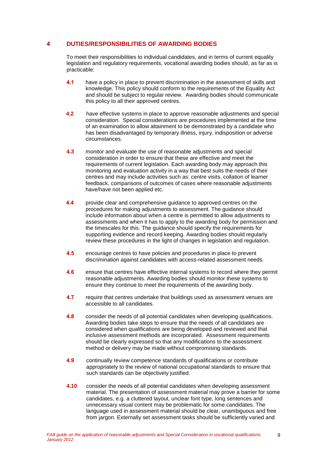### **4 DUTIES/RESPONSIBILITIES OF AWARDING BODIES**

To meet their responsibilities to individual candidates, and in terms of current equality legislation and regulatory requirements, vocational awarding bodies should, as far as is practicable:

- **4.1** have a policy in place to prevent discrimination in the assessment of skills and knowledge. This policy should conform to the requirements of the Equality Act and should be subject to regular review. Awarding bodies should communicate this policy to all their approved centres.
- **4.2** have effective systems in place to approve reasonable adjustments and special consideration. Special considerations are procedures implemented at the time of an examination to allow attainment to be demonstrated by a candidate who has been disadvantaged by temporary illness, injury, indisposition or adverse circumstances.
- **4.3** monitor and evaluate the use of reasonable adjustments and special consideration in order to ensure that these are effective and meet the requirements of current legislation. Each awarding body may approach this monitoring and evaluation activity in a way that best suits the needs of their centres and may include activities such as: centre visits, collation of learner feedback, comparisons of outcomes of cases where reasonable adjustments have/have not been applied etc.
- **4.4** provide clear and comprehensive guidance to approved centres on the procedures for making adjustments to assessment. The guidance should include information about when a centre is permitted to allow adjustments to assessments and when it has to apply to the awarding body for permission and the timescales for this. The guidance should specify the requirements for supporting evidence and record keeping. Awarding bodies should regularly review these procedures in the light of changes in legislation and regulation.
- **4.5** encourage centres to have policies and procedures in place to prevent discrimination against candidates with access-related assessment needs.
- **4.6** ensure that centres have effective internal systems to record where they permit reasonable adjustments. Awarding bodies should monitor these systems to ensure they continue to meet the requirements of the awarding body.
- **4.7** require that centres undertake that buildings used as assessment venues are accessible to all candidates.
- **4.8** consider the needs of all potential candidates when developing qualifications. Awarding bodies take steps to ensure that the needs of all candidates are considered when qualifications are being developed and reviewed and that inclusive assessment methods are incorporated. Assessment requirements should be clearly expressed so that any modifications to the assessment method or delivery may be made without compromising standards.
- **4.9** continually review competence standards of qualifications or contribute appropriately to the review of national occupational standards to ensure that such standards can be objectively justified.
- **4.10** consider the needs of all potential candidates when developing assessment material. The presentation of assessment material may prove a barrier for some candidates, e.g. a cluttered layout, unclear font type, long sentences and unnecessary visual content may be problematic for some candidates. The language used in assessment material should be clear, unambiguous and free from jargon. Externally set assessment tasks should be sufficiently varied and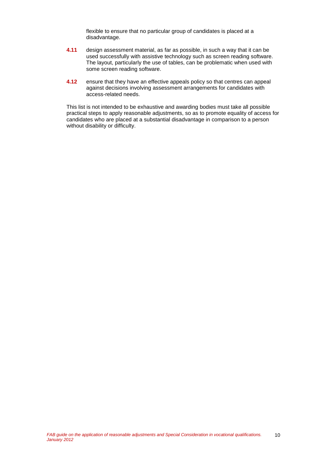flexible to ensure that no particular group of candidates is placed at a disadvantage.

- **4.11** design assessment material, as far as possible, in such a way that it can be used successfully with assistive technology such as screen reading software. The layout, particularly the use of tables, can be problematic when used with some screen reading software.
- **4.12** ensure that they have an effective appeals policy so that centres can appeal against decisions involving assessment arrangements for candidates with access-related needs.

This list is not intended to be exhaustive and awarding bodies must take all possible practical steps to apply reasonable adjustments, so as to promote equality of access for candidates who are placed at a substantial disadvantage in comparison to a person without disability or difficulty.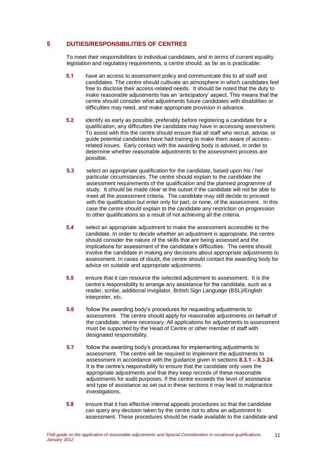### **5 DUTIES/RESPONSIBILITIES OF CENTRES**

To meet their responsibilities to individual candidates, and in terms of current equality legislation and regulatory requirements, a centre should, as far as is practicable:

- **5.1** have an access to assessment policy and communicate this to all staff and candidates. The centre should cultivate an atmosphere in which candidates feel free to disclose their access-related needs. It should be noted that the duty to make reasonable adjustments has an 'anticipatory' aspect. This means that the centre should consider what adjustments future candidates with disabilities or difficulties may need, and make appropriate provision in advance.
- **5.2** identify as early as possible, preferably before registering a candidate for a qualification, any difficulties the candidate may have in accessing assessment. To assist with this the centre should ensure that all staff who recruit, advise, or guide potential candidates have had training to make them aware of accessrelated issues. Early contact with the awarding body is advised, in order to determine whether reasonable adjustments to the assessment process are possible.
- **5.3** select an appropriate qualification for the candidate, based upon his / her particular circumstances. The centre should explain to the candidate the assessment requirements of the qualification and the planned programme of study. It should be made clear at the outset if the candidate will not be able to meet all the assessment criteria. The candidate may still decide to proceed with the qualification but enter only for part, or none, of the assessment. In this case the centre should explain to the candidate any restriction on progression to other qualifications as a result of not achieving all the criteria.
- **5.4** select an appropriate adjustment to make the assessment accessible to the candidate. In order to decide whether an adjustment is appropriate, the centre should consider the nature of the skills that are being assessed and the implications for assessment of the candidate's difficulties. The centre should involve the candidate in making any decisions about appropriate adjustments to assessment. In cases of doubt, the centre should contact the awarding body for advice on suitable and appropriate adjustments.
- **5.5** ensure that it can resource the selected adjustment to assessment. It is the centre's responsibility to arrange any assistance for the candidate, such as a reader, scribe, additional invigilator, British Sign Language (BSL)/English interpreter, etc.
- **5.6** follow the awarding body's procedures for requesting adjustments to assessment.The centre should apply for reasonable adjustments on behalf of the candidate, where necessary. All applications for adjustments to assessment must be supported by the Head of Centre or other member of staff with designated responsibility.
- **5.7** follow the awarding body's procedures for implementing adjustments to assessment. The centre will be required to implement the adjustments to assessment in accordance with the guidance given in sections **8.3.1 – 8.3.24**. It is the centre's responsibility to ensure that the candidate only uses the appropriate adjustments and that they keep records of these reasonable adjustments for audit purposes. If the centre exceeds the level of assistance and type of assistance as set out in these sections it may lead to malpractice investigations.
- **5.8** ensure that it has effective internal appeals procedures so that the candidate can query any decision taken by the centre not to allow an adjustment to assessment. These procedures should be made available to the candidate and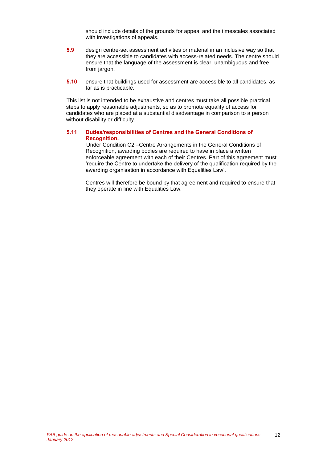should include details of the grounds for appeal and the timescales associated with investigations of appeals.

- **5.9** design centre-set assessment activities or material in an inclusive way so that they are accessible to candidates with access-related needs. The centre should ensure that the language of the assessment is clear, unambiguous and free from jargon.
- **5.10** ensure that buildings used for assessment are accessible to all candidates, as far as is practicable.

This list is not intended to be exhaustive and centres must take all possible practical steps to apply reasonable adjustments, so as to promote equality of access for candidates who are placed at a substantial disadvantage in comparison to a person without disability or difficulty.

#### **5.11 Duties/responsibilities of Centres and the General Conditions of Recognition.**

Under Condition C2 –Centre Arrangements in the General Conditions of Recognition, awarding bodies are required to have in place a written enforceable agreement with each of their Centres. Part of this agreement must 'require the Centre to undertake the delivery of the qualification required by the awarding organisation in accordance with Equalities Law'.

Centres will therefore be bound by that agreement and required to ensure that they operate in line with Equalities Law.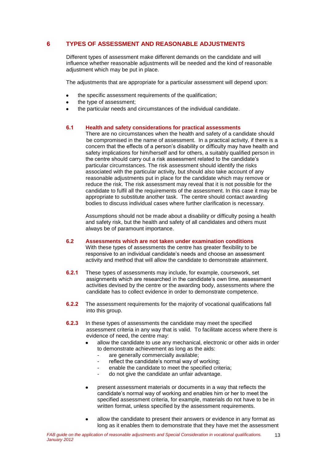### **6 TYPES OF ASSESSMENT AND REASONABLE ADJUSTMENTS**

Different types of assessment make different demands on the candidate and will influence whether reasonable adjustments will be needed and the kind of reasonable adjustment which may be put in place.

The adjustments that are appropriate for a particular assessment will depend upon:

- the specific assessment requirements of the qualification;
- the type of assessment;
- the particular needs and circumstances of the individual candidate.

#### **6.1 Health and safety considerations for practical assessments**

There are no circumstances when the health and safety of a candidate should be compromised in the name of assessment. In a practical activity, if there is a concern that the effects of a person's disability or difficulty may have health and safety implications for him/herself and for others, a suitably qualified person in the centre should carry out a risk assessment related to the candidate's particular circumstances. The risk assessment should identify the risks associated with the particular activity, but should also take account of any reasonable adjustments put in place for the candidate which may remove or reduce the risk. The risk assessment may reveal that it is not possible for the candidate to fulfil all the requirements of the assessment. In this case it may be appropriate to substitute another task. The centre should contact awarding bodies to discuss individual cases where further clarification is necessary.

Assumptions should not be made about a disability or difficulty posing a health and safety risk, but the health and safety of all candidates and others must always be of paramount importance.

- **6.2 Assessments which are not taken under examination conditions** With these types of assessments the centre has greater flexibility to be responsive to an individual candidate's needs and choose an assessment activity and method that will allow the candidate to demonstrate attainment.
- **6.2.1** These types of assessments may include, for example, coursework, set assignments which are researched in the candidate's own time, assessment activities devised by the centre or the awarding body, assessments where the candidate has to collect evidence in order to demonstrate competence.
- **6.2.2** The assessment requirements for the majority of vocational qualifications fall into this group.
- **6.2.3** In these types of assessments the candidate may meet the specified assessment criteria in any way that is valid. To facilitate access where there is evidence of need, the centre may:
	- allow the candidate to use any mechanical, electronic or other aids in order to demonstrate achievement as long as the aids:
		- are generally commercially available;
		- reflect the candidate's normal way of working;
		- enable the candidate to meet the specified criteria;
		- do not give the candidate an unfair advantage.
	- present assessment materials or documents in a way that reflects the  $\blacksquare$ candidate's normal way of working and enables him or her to meet the specified assessment criteria, for example, materials do not have to be in written format, unless specified by the assessment requirements.
	- allow the candidate to present their answers or evidence in any format as long as it enables them to demonstrate that they have met the assessment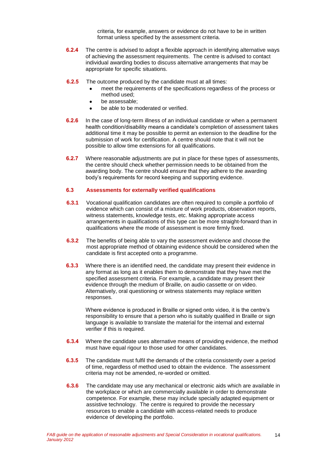criteria, for example, answers or evidence do not have to be in written format unless specified by the assessment criteria.

- **6.2.4** The centre is advised to adopt a flexible approach in identifying alternative ways of achieving the assessment requirements. The centre is advised to contact individual awarding bodies to discuss alternative arrangements that may be appropriate for specific situations.
- **6.2.5** The outcome produced by the candidate must at all times:
	- meet the requirements of the specifications regardless of the process or method used;
	- be assessable;
	- be able to be moderated or verified.
- **6.2.6** In the case of long-term illness of an individual candidate or when a permanent health condition/disability means a candidate's completion of assessment takes additional time it may be possible to permit an extension to the deadline for the submission of work for certification. A centre should note that it will not be possible to allow time extensions for all qualifications.
- **6.2.7** Where reasonable adjustments are put in place for these types of assessments, the centre should check whether permission needs to be obtained from the awarding body. The centre should ensure that they adhere to the awarding body's requirements for record keeping and supporting evidence.

#### **6.3 Assessments for externally verified qualifications**

- **6.3.1** Vocational qualification candidates are often required to compile a portfolio of evidence which can consist of a mixture of work products, observation reports, witness statements, knowledge tests, etc. Making appropriate access arrangements in qualifications of this type can be more straight-forward than in qualifications where the mode of assessment is more firmly fixed.
- **6.3.2** The benefits of being able to vary the assessment evidence and choose the most appropriate method of obtaining evidence should be considered when the candidate is first accepted onto a programme.
- **6.3.3** Where there is an identified need, the candidate may present their evidence in any format as long as it enables them to demonstrate that they have met the specified assessment criteria. For example, a candidate may present their evidence through the medium of Braille, on audio cassette or on video. Alternatively, oral questioning or witness statements may replace written responses.

Where evidence is produced in Braille or signed onto video, it is the centre's responsibility to ensure that a person who is suitably qualified in Braille or sign language is available to translate the material for the internal and external verifier if this is required.

- **6.3.4** Where the candidate uses alternative means of providing evidence, the method must have equal rigour to those used for other candidates.
- **6.3.5** The candidate must fulfil the demands of the criteria consistently over a period of time, regardless of method used to obtain the evidence. The assessment criteria may not be amended, re-worded or omitted.
- **6.3.6** The candidate may use any mechanical or electronic aids which are available in the workplace or which are commercially available in order to demonstrate competence. For example, these may include specially adapted equipment or assistive technology. The centre is required to provide the necessary resources to enable a candidate with access-related needs to produce evidence of developing the portfolio.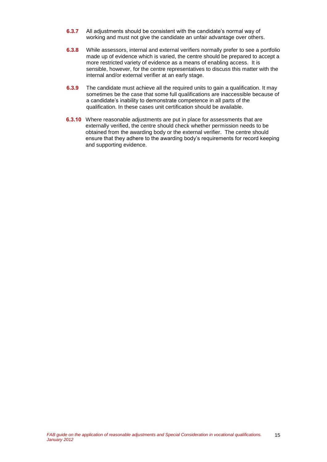- **6.3.7** All adjustments should be consistent with the candidate's normal way of working and must not give the candidate an unfair advantage over others.
- **6.3.8** While assessors, internal and external verifiers normally prefer to see a portfolio made up of evidence which is varied, the centre should be prepared to accept a more restricted variety of evidence as a means of enabling access. It is sensible, however, for the centre representatives to discuss this matter with the internal and/or external verifier at an early stage.
- **6.3.9** The candidate must achieve all the required units to gain a qualification. It may sometimes be the case that some full qualifications are inaccessible because of a candidate's inability to demonstrate competence in all parts of the qualification. In these cases unit certification should be available.
- **6.3.10** Where reasonable adjustments are put in place for assessments that are externally verified, the centre should check whether permission needs to be obtained from the awarding body or the external verifier. The centre should ensure that they adhere to the awarding body's requirements for record keeping and supporting evidence.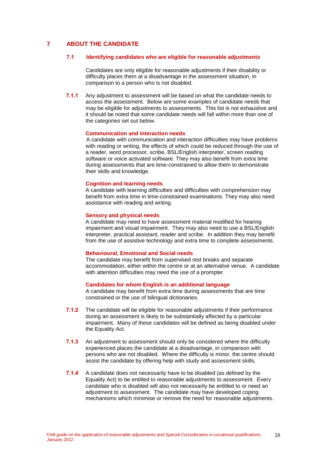### **7 ABOUT THE CANDIDATE**

#### **7.1 Identifying candidates who are eligible for reasonable adjustments**

Candidates are only eligible for reasonable adjustments if their disability or difficulty places them at a disadvantage in the assessment situation, in comparison to a person who is not disabled.

**7.1.1** Any adjustment to assessment will be based on what the candidate needs to access the assessment. Below are some examples of candidate needs that may be eligible for adjustments to assessments. This list is not exhaustive and it should be noted that some candidate needs will fall within more than one of the categories set out below.

#### **Communication and interaction needs**

A candidate with communication and interaction difficulties may have problems with reading or writing, the effects of which could be reduced through the use of a reader, word processor, scribe, BSL/English interpreter, screen reading software or voice activated software. They may also benefit from extra time during assessments that are time-constrained to allow them to demonstrate their skills and knowledge.

#### **Cognition and learning needs**

A candidate with learning difficulties and difficulties with comprehension may benefit from extra time in time-constrained examinations. They may also need assistance with reading and writing.

#### **Sensory and physical needs**

A candidate may need to have assessment material modified for hearing impairment and visual impairment. They may also need to use a BSL/English interpreter, practical assistant, reader and scribe. In addition they may benefit from the use of assistive technology and extra time to complete assessments.

#### **Behavioural, Emotional and Social needs**

The candidate may benefit from supervised rest breaks and separate accommodation, either within the centre or at an alternative venue. A candidate with attention difficulties may need the use of a prompter.

#### **Candidates for whom English is an additional language**

A candidate may benefit from extra time during assessments that are time constrained or the use of bilingual dictionaries.

- **7.1.2** The candidate will be eligible for reasonable adjustments if their performance during an assessment is likely to be substantially affected by a particular impairment. Many of these candidates will be defined as being disabled under the Equality Act.
- **7.1.3** An adjustment to assessment should only be considered where the difficulty experienced places the candidate at a disadvantage, in comparison with persons who are not disabled. Where the difficulty is minor, the centre should assist the candidate by offering help with study and assessment skills.
- **7.1.4** A candidate does not necessarily have to be disabled (as defined by the Equality Act) to be entitled to reasonable adjustments to assessment. Every candidate who is disabled will also not necessarily be entitled to or need an adjustment to assessment. The candidate may have developed coping mechanisms which minimise or remove the need for reasonable adjustments.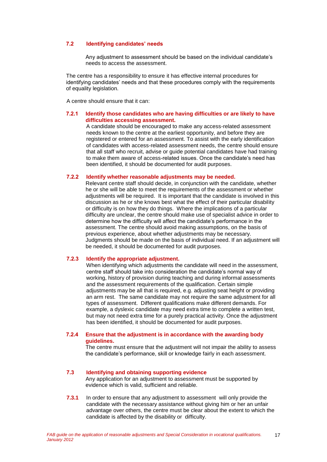#### **7.2 Identifying candidates' needs**

Any adjustment to assessment should be based on the individual candidate's needs to access the assessment.

The centre has a responsibility to ensure it has effective internal procedures for identifying candidates' needs and that these procedures comply with the requirements of equality legislation.

A centre should ensure that it can:

#### **7.2.1 Identify those candidates who are having difficulties or are likely to have difficulties accessing assessment.**

A candidate should be encouraged to make any access-related assessment needs known to the centre at the earliest opportunity, and before they are registered or entered for an assessment. To assist with the early identification of candidates with access-related assessment needs, the centre should ensure that all staff who recruit, advise or guide potential candidates have had training to make them aware of access-related issues. Once the candidate's need has been identified, it should be documented for audit purposes.

#### **7.2.2 Identify whether reasonable adjustments may be needed.**

Relevant centre staff should decide, in conjunction with the candidate, whether he or she will be able to meet the requirements of the assessment or whether adjustments will be required. It is important that the candidate is involved in this discussion as he or she knows best what the effect of their particular disability or difficulty is on how they do things. Where the implications of a particular difficulty are unclear, the centre should make use of specialist advice in order to determine how the difficulty will affect the candidate's performance in the assessment. The centre should avoid making assumptions, on the basis of previous experience, about whether adjustments may be necessary. Judgments should be made on the basis of individual need. If an adjustment will be needed, it should be documented for audit purposes.

#### **7.2.3 Identify the appropriate adjustment.**

When identifying which adjustments the candidate will need in the assessment, centre staff should take into consideration the candidate's normal way of working, history of provision during teaching and during informal assessments and the assessment requirements of the qualification. Certain simple adjustments may be all that is required, e.g. adjusting seat height or providing an arm rest. The same candidate may not require the same adjustment for all types of assessment. Different qualifications make different demands. For example, a dyslexic candidate may need extra time to complete a written test, but may not need extra time for a purely practical activity. Once the adjustment has been identified, it should be documented for audit purposes.

#### **7.2.4 Ensure that the adjustment is in accordance with the awarding body guidelines.**

The centre must ensure that the adjustment will not impair the ability to assess the candidate's performance, skill or knowledge fairly in each assessment.

#### **7.3 Identifying and obtaining supporting evidence**

Any application for an adjustment to assessment must be supported by evidence which is valid, sufficient and reliable.

**7.3.1** In order to ensure that any adjustment to assessment will only provide the candidate with the necessary assistance without giving him or her an unfair advantage over others, the centre must be clear about the extent to which the candidate is affected by the disability or difficulty.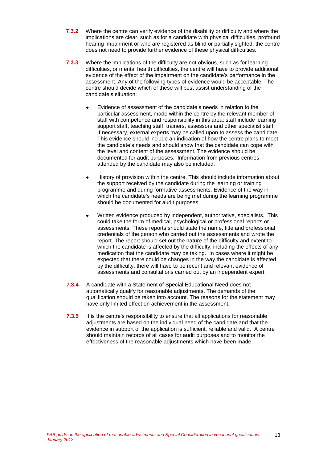- **7.3.2** Where the centre can verify evidence of the disability or difficulty and where the implications are clear, such as for a candidate with physical difficulties, profound hearing impairment or who are registered as blind or partially sighted, the centre does not need to provide further evidence of these physical difficulties.
- **7.3.3** Where the implications of the difficulty are not obvious, such as for learning difficulties, or mental health difficulties, the centre will have to provide additional evidence of the effect of the impairment on the candidate's performance in the assessment. Any of the following types of evidence would be acceptable. The centre should decide which of these will best assist understanding of the candidate's situation:
	- Evidence of assessment of the candidate's needs in relation to the particular assessment, made within the centre by the relevant member of staff with competence and responsibility in this area; staff include learning support staff, teaching staff, trainers, assessors and other specialist staff. If necessary, external experts may be called upon to assess the candidate. This evidence should include an indication of how the centre plans to meet the candidate's needs and should show that the candidate can cope with the level and content of the assessment. The evidence should be documented for audit purposes. Information from previous centres attended by the candidate may also be included.
	- History of provision within the centre. This should include information about the support received by the candidate during the learning or training programme and during formative assessments. Evidence of the way in which the candidate's needs are being met during the learning programme should be documented for audit purposes.
	- Written evidence produced by independent, authoritative, specialists. This could take the form of medical, psychological or professional reports or assessments. These reports should state the name, title and professional credentials of the person who carried out the assessments and wrote the report. The report should set out the nature of the difficulty and extent to which the candidate is affected by the difficulty, including the effects of any medication that the candidate may be taking. In cases where it might be expected that there could be changes in the way the candidate is affected by the difficulty, there will have to be recent and relevant evidence of assessments and consultations carried out by an independent expert.
- **7.3.4** A candidate with a Statement of Special Educational Need does not automatically qualify for reasonable adjustments. The demands of the qualification should be taken into account. The reasons for the statement may have only limited effect on achievement in the assessment.
- **7.3.5** It is the centre's responsibility to ensure that all applications for reasonable adjustments are based on the individual need of the candidate and that the evidence in support of the application is sufficient, reliable and valid. A centre should maintain records of all cases for audit purposes and to monitor the effectiveness of the reasonable adjustments which have been made.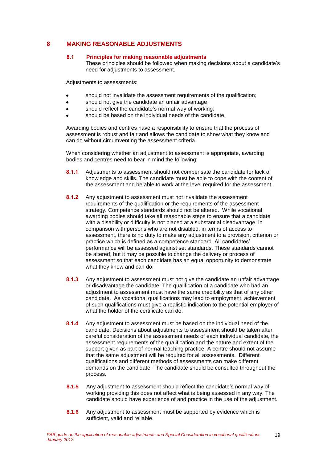### **8 MAKING REASONABLE ADJUSTMENTS**

#### **8.1 Principles for making reasonable adjustments**

These principles should be followed when making decisions about a candidate's need for adjustments to assessment.

Adjustments to assessments:

- should not invalidate the assessment requirements of the qualification;
- should not give the candidate an unfair advantage;
- should reflect the candidate's normal way of working;
- should be based on the individual needs of the candidate.

Awarding bodies and centres have a responsibility to ensure that the process of assessment is robust and fair and allows the candidate to show what they know and can do without circumventing the assessment criteria.

When considering whether an adjustment to assessment is appropriate, awarding bodies and centres need to bear in mind the following:

- **8.1.1** Adjustments to assessment should not compensate the candidate for lack of knowledge and skills. The candidate must be able to cope with the content of the assessment and be able to work at the level required for the assessment.
- **8.1.2** Any adjustment to assessment must not invalidate the assessment requirements of the qualification or the requirements of the assessment strategy. Competence standards should not be altered. While vocational awarding bodies should take all reasonable steps to ensure that a candidate with a disability or difficulty is not placed at a substantial disadvantage, in comparison with persons who are not disabled, in terms of access to assessment, there is no duty to make any adjustment to a provision, criterion or practice which is defined as a competence standard. All candidates' performance will be assessed against set standards. These standards cannot be altered, but it may be possible to change the delivery or process of assessment so that each candidate has an equal opportunity to demonstrate what they know and can do.
- **8.1.3** Any adjustment to assessment must not give the candidate an unfair advantage or disadvantage the candidate. The qualification of a candidate who had an adjustment to assessment must have the same credibility as that of any other candidate. As vocational qualifications may lead to employment, achievement of such qualifications must give a realistic indication to the potential employer of what the holder of the certificate can do.
- **8.1.4** Any adjustment to assessment must be based on the individual need of the candidate. Decisions about adjustments to assessment should be taken after careful consideration of the assessment needs of each individual candidate, the assessment requirements of the qualification and the nature and extent of the support given as part of normal teaching practice. A centre should not assume that the same adjustment will be required for all assessments. Different qualifications and different methods of assessments can make different demands on the candidate. The candidate should be consulted throughout the process.
- **8.1.5** Any adjustment to assessment should reflect the candidate's normal way of working providing this does not affect what is being assessed in any way. The candidate should have experience of and practice in the use of the adjustment.
- **8.1.6** Any adjustment to assessment must be supported by evidence which is sufficient, valid and reliable.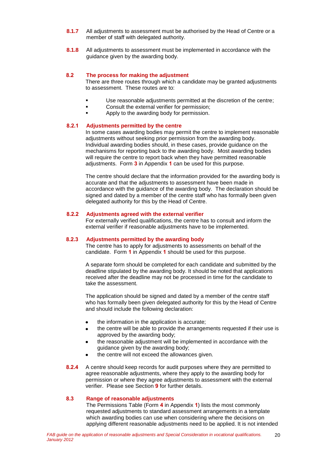- **8.1.7** All adjustments to assessment must be authorised by the Head of Centre or a member of staff with delegated authority.
- **8.1.8** All adjustments to assessment must be implemented in accordance with the guidance given by the awarding body.

#### **8.2 The process for making the adjustment**

There are three routes through which a candidate may be granted adjustments to assessment. These routes are to:

- Use reasonable adjustments permitted at the discretion of the centre;
- Consult the external verifier for permission;
- Apply to the awarding body for permission.

### **8.2.1 Adjustments permitted by the centre**

In some cases awarding bodies may permit the centre to implement reasonable adjustments without seeking prior permission from the awarding body. Individual awarding bodies should, in these cases, provide guidance on the mechanisms for reporting back to the awarding body. Most awarding bodies will require the centre to report back when they have permitted reasonable adjustments. Form **3** in Appendix **1** can be used for this purpose.

The centre should declare that the information provided for the awarding body is accurate and that the adjustments to assessment have been made in accordance with the guidance of the awarding body. The declaration should be signed and dated by a member of the centre staff who has formally been given delegated authority for this by the Head of Centre.

#### **8.2.2 Adjustments agreed with the external verifier**

For externally verified qualifications, the centre has to consult and inform the external verifier if reasonable adjustments have to be implemented.

#### **8.2.3 Adjustments permitted by the awarding body**

The centre has to apply for adjustments to assessments on behalf of the candidate. Form **1** in Appendix **1** should be used for this purpose.

A separate form should be completed for each candidate and submitted by the deadline stipulated by the awarding body. It should be noted that applications received after the deadline may not be processed in time for the candidate to take the assessment.

The application should be signed and dated by a member of the centre staff who has formally been given delegated authority for this by the Head of Centre and should include the following declaration:

- the information in the application is accurate;
- the centre will be able to provide the arrangements requested if their use is approved by the awarding body;
- the reasonable adjustment will be implemented in accordance with the guidance given by the awarding body;
- the centre will not exceed the allowances given.
- **8.2.4** A centre should keep records for audit purposes where they are permitted to agree reasonable adjustments, where they apply to the awarding body for permission or where they agree adjustments to assessment with the external verifier. Please see Section **9** for further details.

#### **8.3 Range of reasonable adjustments**

The Permissions Table (Form **4** in Appendix **1**) lists the most commonly requested adjustments to standard assessment arrangements in a template which awarding bodies can use when considering where the decisions on applying different reasonable adjustments need to be applied. It is not intended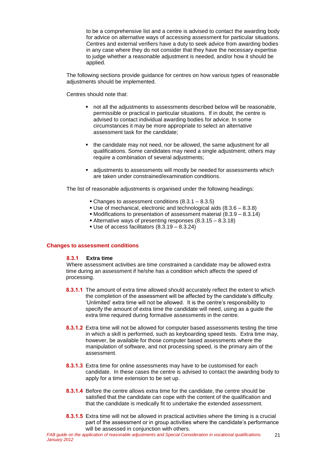to be a comprehensive list and a centre is advised to contact the awarding body for advice on alternative ways of accessing assessment for particular situations. Centres and external verifiers have a duty to seek advice from awarding bodies in any case where they do not consider that they have the necessary expertise to judge whether a reasonable adjustment is needed, and/or how it should be applied.

The following sections provide guidance for centres on how various types of reasonable adjustments should be implemented.

Centres should note that:

- not all the adjustments to assessments described below will be reasonable, permissible or practical in particular situations. If in doubt, the centre is advised to contact individual awarding bodies for advice. In some circumstances it may be more appropriate to select an alternative assessment task for the candidate;
- the candidate may not need, nor be allowed, the same adjustment for all qualifications. Some candidates may need a single adjustment; others may require a combination of several adjustments;
- adjustments to assessments will mostly be needed for assessments which are taken under constrained/examination conditions.

The list of reasonable adjustments is organised under the following headings:

- Changes to assessment conditions  $(8.3.1 8.3.5)$
- Use of mechanical, electronic and technological aids  $(8.3.6 8.3.8)$
- $\bullet$  Modifications to presentation of assessment material  $(8.3.9 8.3.14)$
- Alternative ways of presenting responses (8.3.15 8.3.18)
- Use of access facilitators (8.3.19 8.3.24)

#### **Changes to assessment conditions**

#### **8.3.1 Extra time**

Where assessment activities are time constrained a candidate may be allowed extra time during an assessment if he/she has a condition which affects the speed of processing.

- **8.3.1.1** The amount of extra time allowed should accurately reflect the extent to which the completion of the assessment will be affected by the candidate's difficulty. 'Unlimited' extra time will not be allowed. It is the centre's responsibility to specify the amount of extra time the candidate will need, using as a guide the extra time required during formative assessments in the centre.
- **8.3.1.2** Extra time will not be allowed for computer based assessments testing the time in which a skill is performed, such as keyboarding speed tests. Extra time may, however, be available for those computer based assessments where the manipulation of software, and not processing speed, is the primary aim of the assessment.
- **8.3.1.3** Extra time for online assessments may have to be customised for each candidate. In these cases the centre is advised to contact the awarding body to apply for a time extension to be set up.
- **8.3.1.4** Before the centre allows extra time for the candidate, the centre should be satisfied that the candidate can cope with the content of the qualification and that the candidate is medically fit to undertake the extended assessment.
- **8.3.1.5** Extra time will not be allowed in practical activities where the timing is a crucial part of the assessment or in group activities where the candidate's performance will be assessed in conjunction with others.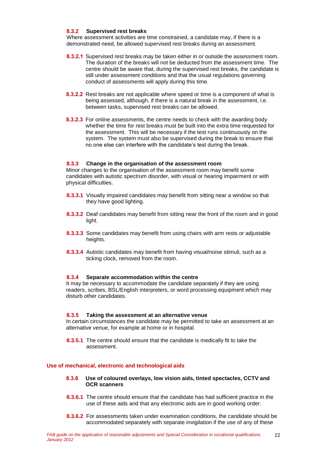### **8.3.2 Supervised rest breaks**

Where assessment activities are time constrained, a candidate may, if there is a demonstrated need, be allowed supervised rest breaks during an assessment.

- **8.3.2.1** Supervised rest breaks may be taken either in or outside the assessment room. The duration of the breaks will not be deducted from the assessment time. The centre should be aware that, during the supervised rest breaks, the candidate is still under assessment conditions and that the usual regulations governing conduct of assessments will apply during this time.
- **8.3.2.2** Rest breaks are not applicable where speed or time is a component of what is being assessed, although, if there is a natural break in the assessment, i.e. between tasks, supervised rest breaks can be allowed.
- **8.3.2.3** For online assessments, the centre needs to check with the awarding body whether the time for rest breaks must be built into the extra time requested for the assessment. This will be necessary if the test runs continuously on the system. The system must also be supervised during the break to ensure that no one else can interfere with the candidate's test during the break.

#### **8.3.3 Change in the organisation of the assessment room**

Minor changes to the organisation of the assessment room may benefit some candidates with autistic spectrum disorder, with visual or hearing impairment or with physical difficulties.

- **8.3.3.1** Visually impaired candidates may benefit from sitting near a window so that they have good lighting.
- **8.3.3.2** Deaf candidates may benefit from sitting near the front of the room and in good light.
- **8.3.3.3** Some candidates may benefit from using chairs with arm rests or adjustable heights.
- **8.3.3.4** Autistic candidates may benefit from having visual/noise stimuli, such as a ticking clock, removed from the room.

#### **8.3.4 Separate accommodation within the centre**

It may be necessary to accommodate the candidate separately if they are using readers, scribes, BSL/English interpreters, or word processing equipment which may disturb other candidates.

#### **8.3.5 Taking the assessment at an alternative venue**

In certain circumstances the candidate may be permitted to take an assessment at an alternative venue, for example at home or in hospital.

**8.3.5.1** The centre should ensure that the candidate is medically fit to take the assessment.

#### **Use of mechanical, electronic and technological aids**

#### **8.3.6 Use of coloured overlays, low vision aids, tinted spectacles, CCTV and OCR scanners**

- **8.3.6.1** The centre should ensure that the candidate has had sufficient practice in the use of these aids and that any electronic aids are in good working order.
- **8.3.6.2** For assessments taken under examination conditions, the candidate should be accommodated separately with separate invigilation if the use of any of these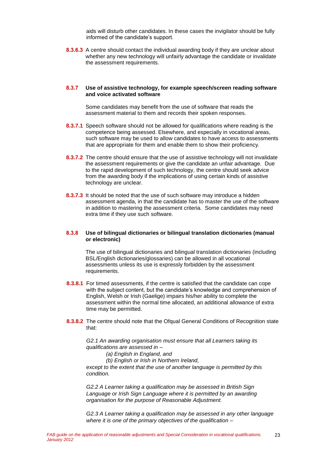aids will disturb other candidates. In these cases the invigilator should be fully informed of the candidate's support.

**8.3.6.3** A centre should contact the individual awarding body if they are unclear about whether any new technology will unfairly advantage the candidate or invalidate the assessment requirements.

#### **8.3.7 Use of assistive technology, for example speech/screen reading software and voice activated software**

Some candidates may benefit from the use of software that reads the assessment material to them and records their spoken responses.

- **8.3.7.1** Speech software should not be allowed for qualifications where reading is the competence being assessed. Elsewhere, and especially in vocational areas, such software may be used to allow candidates to have access to assessments that are appropriate for them and enable them to show their proficiency.
- **8.3.7.2** The centre should ensure that the use of assistive technology will not invalidate the assessment requirements or give the candidate an unfair advantage. Due to the rapid development of such technology, the centre should seek advice from the awarding body if the implications of using certain kinds of assistive technology are unclear.
- **8.3.7.3** It should be noted that the use of such software may introduce a hidden assessment agenda, in that the candidate has to master the use of the software in addition to mastering the assessment criteria. Some candidates may need extra time if they use such software.

#### **8.3.8 Use of bilingual dictionaries or bilingual translation dictionaries (manual or electronic)**

The use of bilingual dictionaries and bilingual translation dictionaries (including BSL/English dictionaries/glossaries) can be allowed in all vocational assessments unless its use is expressly forbidden by the assessment requirements.

- **8.3.8.1** For timed assessments, if the centre is satisfied that the candidate can cope with the subject content, but the candidate's knowledge and comprehension of English, Welsh or Irish (Gaelige) impairs his/her ability to complete the assessment within the normal time allocated, an additional allowance of extra time may be permitted.
- **8.3.8.2** The centre should note that the Ofqual General Conditions of Recognition state that:

*G2.1 An awarding organisation must ensure that all Learners taking its qualifications are assessed in –*

*(a) English in England, and*

*(b) English or Irish in Northern Ireland,* 

*except to the extent that the use of another language is permitted by this condition.*

*G2.2 A Learner taking a qualification may be assessed in British Sign Language or Irish Sign Language where it is permitted by an awarding organisation for the purpose of Reasonable Adjustment.*

*G2.3 A Learner taking a qualification may be assessed in any other language where it is one of the primary objectives of the qualification –*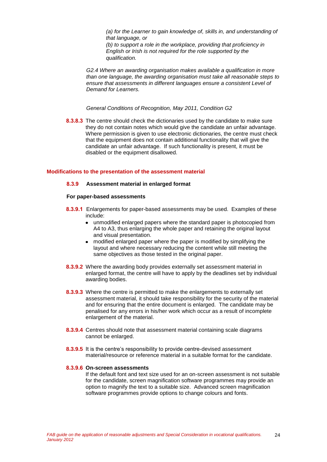*(a) for the Learner to gain knowledge of, skills in, and understanding of that language, or*

*(b) to support a role in the workplace, providing that proficiency in English or Irish is not required for the role supported by the qualification.* 

*G2.4 Where an awarding organisation makes available a qualification in more than one language, the awarding organisation must take all reasonable steps to ensure that assessments in different languages ensure a consistent Level of Demand for Learners.*

*General Conditions of Recognition, May 2011, Condition G2*

**8.3.8.3** The centre should check the dictionaries used by the candidate to make sure they do not contain notes which would give the candidate an unfair advantage. Where permission is given to use electronic dictionaries, the centre must check that the equipment does not contain additional functionality that will give the candidate an unfair advantage. If such functionality is present, it must be disabled or the equipment disallowed.

#### **Modifications to the presentation of the assessment material**

#### **8.3.9 Assessment material in enlarged format**

#### **For paper-based assessments**

- **8.3.9.1** Enlargements for paper-based assessments may be used. Examples of these include:
	- unmodified enlarged papers where the standard paper is photocopied from A4 to A3, thus enlarging the whole paper and retaining the original layout and visual presentation.
	- modified enlarged paper where the paper is modified by simplifying the layout and where necessary reducing the content while still meeting the same objectives as those tested in the original paper.
- **8.3.9.2** Where the awarding body provides externally set assessment material in enlarged format, the centre will have to apply by the deadlines set by individual awarding bodies.
- **8.3.9.3** Where the centre is permitted to make the enlargements to externally set assessment material, it should take responsibility for the security of the material and for ensuring that the entire document is enlarged. The candidate may be penalised for any errors in his/her work which occur as a result of incomplete enlargement of the material.
- **8.3.9.4** Centres should note that assessment material containing scale diagrams cannot be enlarged.
- **8.3.9.5** It is the centre's responsibility to provide centre-devised assessment material/resource or reference material in a suitable format for the candidate.

#### **8.3.9.6 On-screen assessments**

If the default font and text size used for an on-screen assessment is not suitable for the candidate, screen magnification software programmes may provide an option to magnify the text to a suitable size. Advanced screen magnification software programmes provide options to change colours and fonts.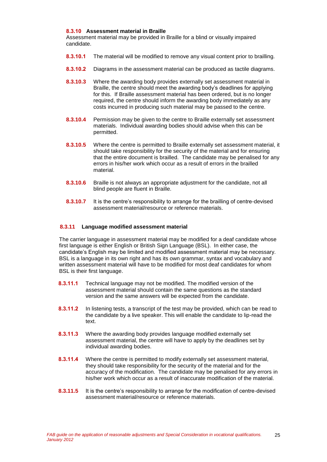#### **8.3.10 Assessment material in Braille**

Assessment material may be provided in Braille for a blind or visually impaired candidate.

- **8.3.10.1** The material will be modified to remove any visual content prior to brailling.
- **8.3.10.2** Diagrams in the assessment material can be produced as tactile diagrams.
- **8.3.10.3** Where the awarding body provides externally set assessment material in Braille, the centre should meet the awarding body's deadlines for applying for this. If Braille assessment material has been ordered, but is no longer required, the centre should inform the awarding body immediately as any costs incurred in producing such material may be passed to the centre.
- **8.3.10.4** Permission may be given to the centre to Braille externally set assessment materials. Individual awarding bodies should advise when this can be permitted.
- **8.3.10.5** Where the centre is permitted to Braille externally set assessment material, it should take responsibility for the security of the material and for ensuring that the entire document is brailled. The candidate may be penalised for any errors in his/her work which occur as a result of errors in the brailled material.
- **8.3.10.6** Braille is not always an appropriate adjustment for the candidate, not all blind people are fluent in Braille.
- **8.3.10.7** It is the centre's responsibility to arrange for the brailling of centre-devised assessment material/resource or reference materials.

#### **8.3.11 Language modified assessment material**

The carrier language in assessment material may be modified for a deaf candidate whose first language is either English or British Sign Language (BSL). In either case, the candidate's English may be limited and modified assessment material may be necessary. BSL is a language in its own right and has its own grammar, syntax and vocabulary and written assessment material will have to be modified for most deaf candidates for whom BSL is their first language.

- **8.3.11.1** Technical language may not be modified. The modified version of the assessment material should contain the same questions as the standard version and the same answers will be expected from the candidate.
- **8.3.11.2** In listening tests, a transcript of the test may be provided, which can be read to the candidate by a live speaker. This will enable the candidate to lip-read the text.
- **8.3.11.3** Where the awarding body provides language modified externally set assessment material, the centre will have to apply by the deadlines set by individual awarding bodies.
- **8.3.11.4** Where the centre is permitted to modify externally set assessment material, they should take responsibility for the security of the material and for the accuracy of the modification. The candidate may be penalised for any errors in his/her work which occur as a result of inaccurate modification of the material.
- **8.3.11.5** It is the centre's responsibility to arrange for the modification of centre-devised assessment material/resource or reference materials.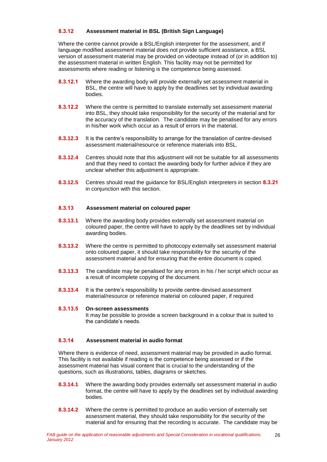### **8.3.12 Assessment material in BSL (British Sign Language)**

Where the centre cannot provide a BSL/English interpreter for the assessment, and if language modified assessment material does not provide sufficient assistance, a BSL version of assessment material may be provided on videotape instead of (or in addition to) the assessment material in written English. This facility may not be permitted for assessments where reading or listening is the competence being assessed.

- **8.3.12.1** Where the awarding body will provide externally set assessment material in BSL, the centre will have to apply by the deadlines set by individual awarding bodies.
- **8.3.12.2** Where the centre is permitted to translate externally set assessment material into BSL, they should take responsibility for the security of the material and for the accuracy of the translation. The candidate may be penalised for any errors in his/her work which occur as a result of errors in the material.
- **8.3.12.3** It is the centre's responsibility to arrange for the translation of centre-devised assessment material/resource or reference materials into BSL.
- **8.3.12.4** Centres should note that this adjustment will not be suitable for all assessments and that they need to contact the awarding body for further advice if they are unclear whether this adjustment is appropriate.
- **8.3.12.5** Centres should read the guidance for BSL/English interpreters in section **8.3.21** in conjunction with this section.

### **8.3.13 Assessment material on coloured paper**

- **8.3.13.1** Where the awarding body provides externally set assessment material on coloured paper, the centre will have to apply by the deadlines set by individual awarding bodies.
- **8.3.13.2** Where the centre is permitted to photocopy externally set assessment material onto coloured paper, it should take responsibility for the security of the assessment material and for ensuring that the entire document is copied.
- **8.3.13.3** The candidate may be penalised for any errors in his / her script which occur as a result of incomplete copying of the document.
- **8.3.13.4** It is the centre's responsibility to provide centre-devised assessment material/resource or reference material on coloured paper, if required

### **8.3.13.5 On-screen assessments**

It may be possible to provide a screen background in a colour that is suited to the candidate's needs.

### **8.3.14 Assessment material in audio format**

Where there is evidence of need, assessment material may be provided in audio format. This facility is not available if reading is the competence being assessed or if the assessment material has visual content that is crucial to the understanding of the questions, such as illustrations, tables, diagrams or sketches.

- **8.3.14.1** Where the awarding body provides externally set assessment material in audio format, the centre will have to apply by the deadlines set by individual awarding bodies.
- **8.3.14.2** Where the centre is permitted to produce an audio version of externally set assessment material, they should take responsibility for the security of the material and for ensuring that the recording is accurate. The candidate may be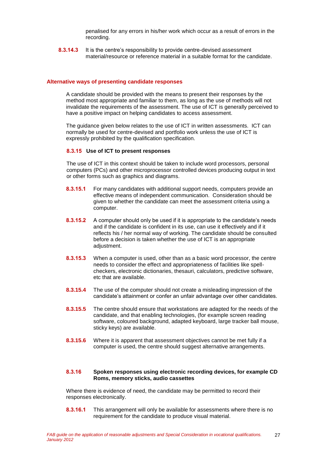penalised for any errors in his/her work which occur as a result of errors in the recording.

**8.3.14.3** It is the centre's responsibility to provide centre-devised assessment material/resource or reference material in a suitable format for the candidate.

#### **Alternative ways of presenting candidate responses**

A candidate should be provided with the means to present their responses by the method most appropriate and familiar to them, as long as the use of methods will not invalidate the requirements of the assessment. The use of ICT is generally perceived to have a positive impact on helping candidates to access assessment.

The guidance given below relates to the use of ICT in written assessments. ICT can normally be used for centre-devised and portfolio work unless the use of ICT is expressly prohibited by the qualification specification.

#### **8.3.15 Use of ICT to present responses**

The use of ICT in this context should be taken to include word processors, personal computers (PCs) and other microprocessor controlled devices producing output in text or other forms such as graphics and diagrams.

- **8.3.15.1** For many candidates with additional support needs, computers provide an effective means of independent communication. Consideration should be given to whether the candidate can meet the assessment criteria using a computer.
- **8.3.15.2** A computer should only be used if it is appropriate to the candidate's needs and if the candidate is confident in its use, can use it effectively and if it reflects his / her normal way of working. The candidate should be consulted before a decision is taken whether the use of ICT is an appropriate adjustment.
- **8.3.15.3** When a computer is used, other than as a basic word processor, the centre needs to consider the effect and appropriateness of facilities like spellcheckers, electronic dictionaries, thesauri, calculators, predictive software, etc that are available.
- **8.3.15.4** The use of the computer should not create a misleading impression of the candidate's attainment or confer an unfair advantage over other candidates.
- **8.3.15.5** The centre should ensure that workstations are adapted for the needs of the candidate, and that enabling technologies, (for example screen reading software, coloured background, adapted keyboard, large tracker ball mouse, sticky keys) are available.
- **8.3.15.6** Where it is apparent that assessment objectives cannot be met fully if a computer is used, the centre should suggest alternative arrangements.

#### **8.3.16 Spoken responses using electronic recording devices, for example CD Roms, memory sticks, audio cassettes**

Where there is evidence of need, the candidate may be permitted to record their responses electronically.

**8.3.16.1** This arrangement will only be available for assessments where there is no requirement for the candidate to produce visual material.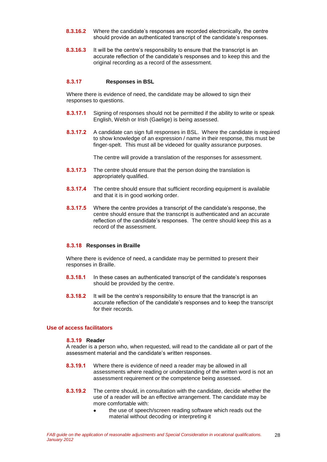- **8.3.16.2** Where the candidate's responses are recorded electronically, the centre should provide an authenticated transcript of the candidate's responses.
- **8.3.16.3** It will be the centre's responsibility to ensure that the transcript is an accurate reflection of the candidate's responses and to keep this and the original recording as a record of the assessment.

#### **8.3.17 Responses in BSL**

Where there is evidence of need, the candidate may be allowed to sign their responses to questions.

- **8.3.17.1** Signing of responses should not be permitted if the ability to write or speak English, Welsh or Irish (Gaelige) is being assessed.
- **8.3.17.2** A candidate can sign full responses in BSL. Where the candidate is required to show knowledge of an expression / name in their response, this must be finger-spelt. This must all be videoed for quality assurance purposes.

The centre will provide a translation of the responses for assessment.

- **8.3.17.3** The centre should ensure that the person doing the translation is appropriately qualified.
- **8.3.17.4** The centre should ensure that sufficient recording equipment is available and that it is in good working order.
- **8.3.17.5** Where the centre provides a transcript of the candidate's response, the centre should ensure that the transcript is authenticated and an accurate reflection of the candidate's responses. The centre should keep this as a record of the assessment.

#### **8.3.18 Responses in Braille**

Where there is evidence of need, a candidate may be permitted to present their responses in Braille.

- **8.3.18.1** In these cases an authenticated transcript of the candidate's responses should be provided by the centre.
- **8.3.18.2** It will be the centre's responsibility to ensure that the transcript is an accurate reflection of the candidate's responses and to keep the transcript for their records.

### **Use of access facilitators**

#### **8.3.19 Reader**

A reader is a person who, when requested, will read to the candidate all or part of the assessment material and the candidate's written responses.

- **8.3.19.1** Where there is evidence of need a reader may be allowed in all assessments where reading or understanding of the written word is not an assessment requirement or the competence being assessed.
- **8.3.19.2** The centre should, in consultation with the candidate, decide whether the use of a reader will be an effective arrangement. The candidate may be more comfortable with:
	- the use of speech/screen reading software which reads out the  $\bullet$ material without decoding or interpreting it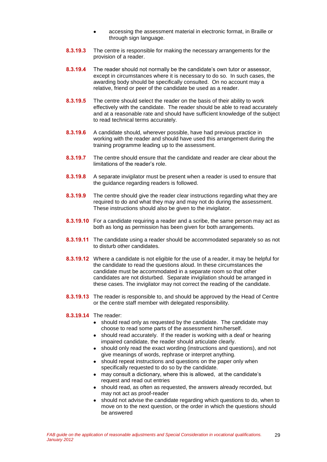- accessing the assessment material in electronic format, in Braille or  $\bullet$ through sign language.
- **8.3.19.3** The centre is responsible for making the necessary arrangements for the provision of a reader.
- **8.3.19.4** The reader should not normally be the candidate's own tutor or assessor, except in circumstances where it is necessary to do so. In such cases, the awarding body should be specifically consulted. On no account may a relative, friend or peer of the candidate be used as a reader.
- **8.3.19.5** The centre should select the reader on the basis of their ability to work effectively with the candidate. The reader should be able to read accurately and at a reasonable rate and should have sufficient knowledge of the subject to read technical terms accurately.
- **8.3.19.6** A candidate should, wherever possible, have had previous practice in working with the reader and should have used this arrangement during the training programme leading up to the assessment.
- **8.3.19.7** The centre should ensure that the candidate and reader are clear about the limitations of the reader's role.
- **8.3.19.8** A separate invigilator must be present when a reader is used to ensure that the guidance regarding readers is followed.
- **8.3.19.9** The centre should give the reader clear instructions regarding what they are required to do and what they may and may not do during the assessment. These instructions should also be given to the invigilator.
- **8.3.19.10** For a candidate requiring a reader and a scribe, the same person may act as both as long as permission has been given for both arrangements.
- **8.3.19.11** The candidate using a reader should be accommodated separately so as not to disturb other candidates.
- **8.3.19.12** Where a candidate is not eligible for the use of a reader, it may be helpful for the candidate to read the questions aloud. In these circumstances the candidate must be accommodated in a separate room so that other candidates are not disturbed. Separate invigilation should be arranged in these cases. The invigilator may not correct the reading of the candidate.
- **8.3.19.13** The reader is responsible to, and should be approved by the Head of Centre or the centre staff member with delegated responsibility.

#### **8.3.19.14** The reader:

- should read only as requested by the candidate. The candidate may choose to read some parts of the assessment him/herself.
- should read accurately. If the reader is working with a deaf or hearing impaired candidate, the reader should articulate clearly.
- should only read the exact wording (instructions and questions), and not  $\bullet$ give meanings of words, rephrase or interpret anything.
- should repeat instructions and questions on the paper only when  $\bullet$ specifically requested to do so by the candidate.
- may consult a dictionary, where this is allowed, at the candidate's request and read out entries
- should read, as often as requested, the answers already recorded, but may not act as proof-reader
- should not advise the candidate regarding which questions to do, when to move on to the next question, or the order in which the questions should be answered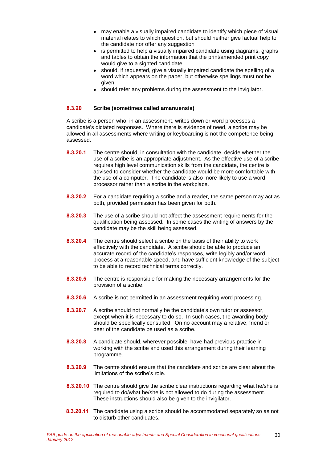- may enable a visually impaired candidate to identify which piece of visual material relates to which question, but should neither give factual help to the candidate nor offer any suggestion
- is permitted to help a visually impaired candidate using diagrams, graphs and tables to obtain the information that the print/amended print copy would give to a sighted candidate
- should, if requested, give a visually impaired candidate the spelling of a word which appears on the paper, but otherwise spellings must not be given.
- should refer any problems during the assessment to the invigilator.

### **8.3.20 Scribe (sometimes called amanuensis)**

A scribe is a person who, in an assessment, writes down or word processes a candidate's dictated responses. Where there is evidence of need, a scribe may be allowed in all assessments where writing or keyboarding is not the competence being assessed.

- **8.3.20.1** The centre should, in consultation with the candidate, decide whether the use of a scribe is an appropriate adjustment. As the effective use of a scribe requires high level communication skills from the candidate, the centre is advised to consider whether the candidate would be more comfortable with the use of a computer. The candidate is also more likely to use a word processor rather than a scribe in the workplace.
- **8.3.20.2** For a candidate requiring a scribe and a reader, the same person may act as both, provided permission has been given for both.
- **8.3.20.3** The use of a scribe should not affect the assessment requirements for the qualification being assessed. In some cases the writing of answers by the candidate may be the skill being assessed.
- **8.3.20.4** The centre should select a scribe on the basis of their ability to work effectively with the candidate. A scribe should be able to produce an accurate record of the candidate's responses, write legibly and/or word process at a reasonable speed, and have sufficient knowledge of the subject to be able to record technical terms correctly.
- **8.3.20.5** The centre is responsible for making the necessary arrangements for the provision of a scribe.
- **8.3.20.6** A scribe is not permitted in an assessment requiring word processing.
- **8.3.20.7** A scribe should not normally be the candidate's own tutor or assessor, except when it is necessary to do so. In such cases, the awarding body should be specifically consulted. On no account may a relative, friend or peer of the candidate be used as a scribe.
- **8.3.20.8** A candidate should, wherever possible, have had previous practice in working with the scribe and used this arrangement during their learning programme.
- **8.3.20.9** The centre should ensure that the candidate and scribe are clear about the limitations of the scribe's role.
- **8.3.20.10** The centre should give the scribe clear instructions regarding what he/she is required to do/what he/she is not allowed to do during the assessment. These instructions should also be given to the invigilator.
- **8.3.20.11** The candidate using a scribe should be accommodated separately so as not to disturb other candidates.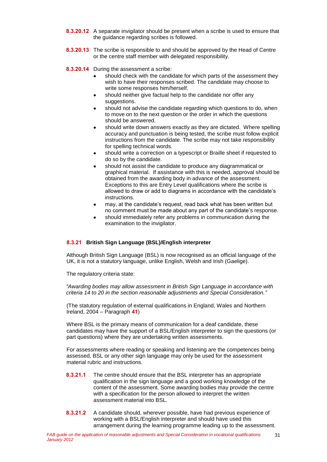- **8.3.20.12** A separate invigilator should be present when a scribe is used to ensure that the guidance regarding scribes is followed.
- **8.3.20.13** The scribe is responsible to and should be approved by the Head of Centre or the centre staff member with delegated responsibility.
- **8.3.20.14** During the assessment a scribe:
	- should check with the candidate for which parts of the assessment they wish to have their responses scribed. The candidate may choose to write some responses him/herself.
	- should neither give factual help to the candidate nor offer any suggestions.
	- should not advise the candidate regarding which questions to do, when to move on to the next question or the order in which the questions should be answered.
	- should write down answers exactly as they are dictated. Where spelling accuracy and punctuation is being tested, the scribe must follow explicit instructions from the candidate. The scribe may not take responsibility for spelling technical words.
	- should write a correction on a typescript or Braille sheet if requested to do so by the candidate.
	- should not assist the candidate to produce any diagrammatical or graphical material. If assistance with this is needed, approval should be obtained from the awarding body in advance of the assessment. Exceptions to this are Entry Level qualifications where the scribe is allowed to draw or add to diagrams in accordance with the candidate's instructions.
	- may, at the candidate's request, read back what has been written but  $\blacksquare$ no comment must be made about any part of the candidate's response.
	- should immediately refer any problems in communication during the examination to the invigilator.

### **8.3.21 British Sign Language (BSL)/English interpreter**

Although British Sign Language (BSL) is now recognised as an official language of the UK, it is not a statutory language, unlike English, Welsh and Irish (Gaelige).

The regulatory criteria state:

*"Awarding bodies may allow assessment in British Sign Language in accordance with criteria 14 to 20 in the section reasonable adjustments and Special Consideration."*

(The statutory regulation of external qualifications in England, Wales and Northern Ireland, 2004 – Paragraph **41**)

Where BSL is the primary means of communication for a deaf candidate, these candidates may have the support of a BSL/English interpreter to sign the questions (or part questions) where they are undertaking written assessments.

For assessments where reading or speaking and listening are the competences being assessed, BSL or any other sign language may only be used for the assessment material rubric and instructions.

- **8.3.21.1** The centre should ensure that the BSL interpreter has an appropriate qualification in the sign language and a good working knowledge of the content of the assessment. Some awarding bodies may provide the centre with a specification for the person allowed to interpret the written assessment material into BSL.
- **8.3.21.2** A candidate should, wherever possible, have had previous experience of working with a BSL/English interpreter and should have used this arrangement during the learning programme leading up to the assessment.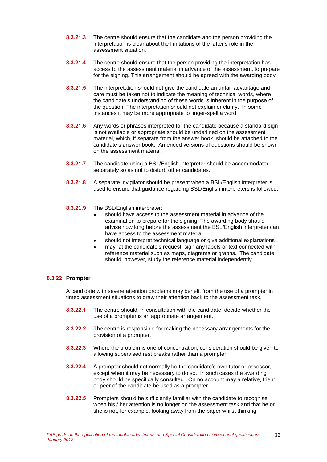- **8.3.21.3** The centre should ensure that the candidate and the person providing the interpretation is clear about the limitations of the latter's role in the assessment situation.
- **8.3.21.4** The centre should ensure that the person providing the interpretation has access to the assessment material in advance of the assessment, to prepare for the signing. This arrangement should be agreed with the awarding body.
- **8.3.21.5** The interpretation should not give the candidate an unfair advantage and care must be taken not to indicate the meaning of technical words, where the candidate's understanding of these words is inherent in the purpose of the question. The interpretation should not explain or clarify. In some instances it may be more appropriate to finger-spell a word.
- **8.3.21.6** Any words or phrases interpreted for the candidate because a standard sign is not available or appropriate should be underlined on the assessment material, which, if separate from the answer book, should be attached to the candidate's answer book. Amended versions of questions should be shown on the assessment material.
- **8.3.21.7** The candidate using a BSL/English interpreter should be accommodated separately so as not to disturb other candidates.
- **8.3.21.8** A separate invigilator should be present when a BSL/English interpreter is used to ensure that guidance regarding BSL/English interpreters is followed.
- **8.3.21.9** The BSL/English interpreter:
	- should have access to the assessment material in advance of the examination to prepare for the signing. The awarding body should advise how long before the assessment the BSL/English interpreter can have access to the assessment material
	- should not interpret technical language or give additional explanations
	- may, at the candidate's request, sign any labels or text connected with reference material such as maps, diagrams or graphs. The candidate should, however, study the reference material independently.

#### **8.3.22 Prompter**

A candidate with severe attention problems may benefit from the use of a prompter in timed assessment situations to draw their attention back to the assessment task.

- **8.3.22.1** The centre should, in consultation with the candidate, decide whether the use of a prompter is an appropriate arrangement.
- **8.3.22.2** The centre is responsible for making the necessary arrangements for the provision of a prompter.
- **8.3.22.3** Where the problem is one of concentration, consideration should be given to allowing supervised rest breaks rather than a prompter.
- **8.3.22.4** A prompter should not normally be the candidate's own tutor or assessor, except when it may be necessary to do so. In such cases the awarding body should be specifically consulted. On no account may a relative, friend or peer of the candidate be used as a prompter.
- **8.3.22.5** Prompters should be sufficiently familiar with the candidate to recognise when his / her attention is no longer on the assessment task and that he or she is not, for example, looking away from the paper whilst thinking.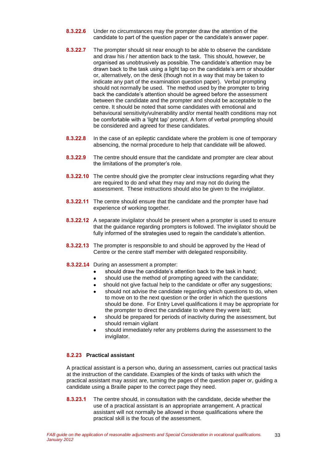- **8.3.22.6** Under no circumstances may the prompter draw the attention of the candidate to part of the question paper or the candidate's answer paper.
- **8.3.22.7** The prompter should sit near enough to be able to observe the candidate and draw his / her attention back to the task. This should, however, be organised as unobtrusively as possible. The candidate's attention may be drawn back to the task using a light tap on the candidate's arm or shoulder or, alternatively, on the desk (though not in a way that may be taken to indicate any part of the examination question paper). Verbal prompting should not normally be used. The method used by the prompter to bring back the candidate's attention should be agreed before the assessment between the candidate and the prompter and should be acceptable to the centre. It should be noted that some candidates with emotional and behavioural sensitivity/vulnerability and/or mental health conditions may not be comfortable with a 'light tap' prompt. A form of verbal prompting should be considered and agreed for these candidates.
- **8.3.22.8** In the case of an epileptic candidate where the problem is one of temporary absencing, the normal procedure to help that candidate will be allowed.
- **8.3.22.9** The centre should ensure that the candidate and prompter are clear about the limitations of the prompter's role.
- **8.3.22.10** The centre should give the prompter clear instructions regarding what they are required to do and what they may and may not do during the assessment. These instructions should also be given to the invigilator.
- **8.3.22.11** The centre should ensure that the candidate and the prompter have had experience of working together.
- **8.3.22.12** A separate invigilator should be present when a prompter is used to ensure that the guidance regarding prompters is followed. The invigilator should be fully informed of the strategies used to regain the candidate's attention.
- **8.3.22.13** The prompter is responsible to and should be approved by the Head of Centre or the centre staff member with delegated responsibility.
- **8.3.22.14** During an assessment a prompter:
	- should draw the candidate's attention back to the task in hand;
	- should use the method of prompting agreed with the candidate;
	- should not give factual help to the candidate or offer any suggestions;  $\bullet$
	- should not advise the candidate regarding which questions to do, when to move on to the next question or the order in which the questions should be done. For Entry Level qualifications it may be appropriate for the prompter to direct the candidate to where they were last;
	- should be prepared for periods of inactivity during the assessment, but should remain vigilant
	- should immediately refer any problems during the assessment to the invigilator.

### **8.2.23 Practical assistant**

A practical assistant is a person who, during an assessment, carries out practical tasks at the instruction of the candidate. Examples of the kinds of tasks with which the practical assistant may assist are, turning the pages of the question paper or, guiding a candidate using a Braille paper to the correct page they need.

**8.3.23.1** The centre should, in consultation with the candidate, decide whether the use of a practical assistant is an appropriate arrangement. A practical assistant will not normally be allowed in those qualifications where the practical skill is the focus of the assessment.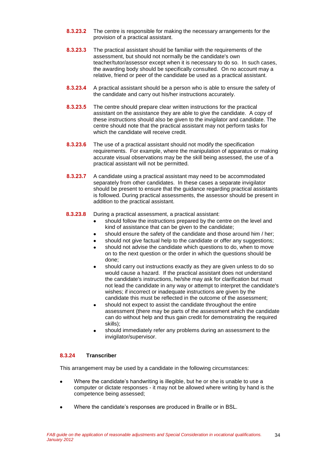- **8.3.23.2** The centre is responsible for making the necessary arrangements for the provision of a practical assistant.
- **8.3.23.3** The practical assistant should be familiar with the requirements of the assessment, but should not normally be the candidate's own teacher/tutor/assessor except when it is necessary to do so. In such cases, the awarding body should be specifically consulted. On no account may a relative, friend or peer of the candidate be used as a practical assistant.
- **8.3.23.4** A practical assistant should be a person who is able to ensure the safety of the candidate and carry out his/her instructions accurately.
- **8.3.23.5** The centre should prepare clear written instructions for the practical assistant on the assistance they are able to give the candidate. A copy of these instructions should also be given to the invigilator and candidate. The centre should note that the practical assistant may not perform tasks for which the candidate will receive credit.
- **8.3.23.6** The use of a practical assistant should not modify the specification requirements. For example, where the manipulation of apparatus or making accurate visual observations may be the skill being assessed, the use of a practical assistant will not be permitted.
- **8.3.23.7** A candidate using a practical assistant may need to be accommodated separately from other candidates. In these cases a separate invigilator should be present to ensure that the guidance regarding practical assistants is followed. During practical assessments, the assessor should be present in addition to the practical assistant.
- **8.3.23.8** During a practical assessment, a practical assistant:
	- should follow the instructions prepared by the centre on the level and kind of assistance that can be given to the candidate;
	- should ensure the safety of the candidate and those around him / her;
	- should not give factual help to the candidate or offer any suggestions;
	- should not advise the candidate which questions to do, when to move on to the next question or the order in which the questions should be done;
	- should carry out instructions exactly as they are given unless to do so would cause a hazard. If the practical assistant does not understand the candidate's instructions, he/she may ask for clarification but must not lead the candidate in any way or attempt to interpret the candidate's wishes; if incorrect or inadequate instructions are given by the candidate this must be reflected in the outcome of the assessment;
	- should not expect to assist the candidate throughout the entire assessment (there may be parts of the assessment which the candidate can do without help and thus gain credit for demonstrating the required skills);
	- should immediately refer any problems during an assessment to the invigilator/supervisor.

### **8.3.24 Transcriber**

This arrangement may be used by a candidate in the following circumstances:

- Where the candidate's handwriting is illegible, but he or she is unable to use a computer or dictate responses - it may not be allowed where writing by hand is the competence being assessed;
- Where the candidate's responses are produced in Braille or in BSL.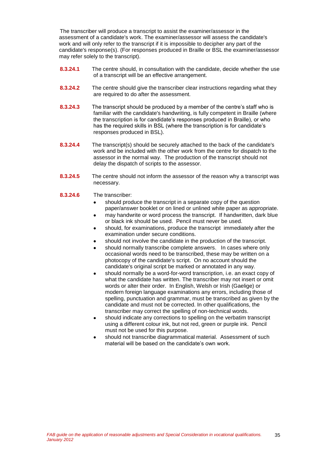The transcriber will produce a transcript to assist the examiner/assessor in the assessment of a candidate's work. The examiner/assessor will assess the candidate's work and will only refer to the transcript if it is impossible to decipher any part of the candidate's response(s). (For responses produced in Braille or BSL the examiner/assessor may refer solely to the transcript).

- **8.3.24.1** The centre should, in consultation with the candidate, decide whether the use of a transcript will be an effective arrangement.
- **8.3.24.2** The centre should give the transcriber clear instructions regarding what they are required to do after the assessment.
- **8.3.24.3** The transcript should be produced by a member of the centre's staff who is familiar with the candidate's handwriting, is fully competent in Braille (where the transcription is for candidate's responses produced in Braille), or who has the required skills in BSL (where the transcription is for candidate's responses produced in BSL).
- **8.3.24.4** The transcript(s) should be securely attached to the back of the candidate's work and be included with the other work from the centre for dispatch to the assessor in the normal way. The production of the transcript should not delay the dispatch of scripts to the assessor.
- **8.3.24.5** The centre should not inform the assessor of the reason why a transcript was necessary.
- **8.3.24.6** The transcriber:
	- should produce the transcript in a separate copy of the question paper/answer booklet or on lined or unlined white paper as appropriate.
	- may handwrite or word process the transcript. If handwritten, dark blue  $\bullet$ or black ink should be used. Pencil must never be used.
	- should, for examinations, produce the transcript immediately after the examination under secure conditions.
	- should not involve the candidate in the production of the transcript.
	- should normally transcribe complete answers. In cases where only occasional words need to be transcribed, these may be written on a photocopy of the candidate's script. On no account should the candidate's original script be marked or annotated in any way.
	- should normally be a word-for-word transcription, i.e. an exact copy of what the candidate has written. The transcriber may not insert or omit words or alter their order. In English, Welsh or Irish (Gaelige) or modern foreign language examinations any errors, including those of spelling, punctuation and grammar, must be transcribed as given by the candidate and must not be corrected. In other qualifications, the transcriber may correct the spelling of non-technical words.
	- should indicate any corrections to spelling on the verbatim transcript  $\blacksquare$ using a different colour ink, but not red, green or purple ink. Pencil must not be used for this purpose.
	- should not transcribe diagrammatical material. Assessment of such material will be based on the candidate's own work.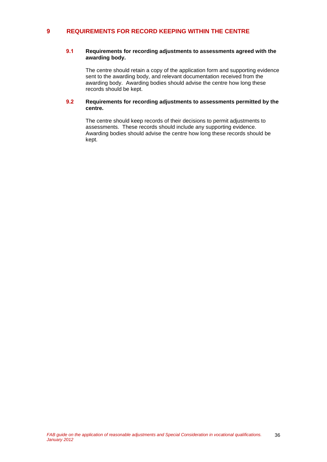### **9 REQUIREMENTS FOR RECORD KEEPING WITHIN THE CENTRE**

### **9.1 Requirements for recording adjustments to assessments agreed with the awarding body.**

The centre should retain a copy of the application form and supporting evidence sent to the awarding body, and relevant documentation received from the awarding body. Awarding bodies should advise the centre how long these records should be kept.

#### **9.2 Requirements for recording adjustments to assessments permitted by the centre.**

The centre should keep records of their decisions to permit adjustments to assessments. These records should include any supporting evidence. Awarding bodies should advise the centre how long these records should be kept.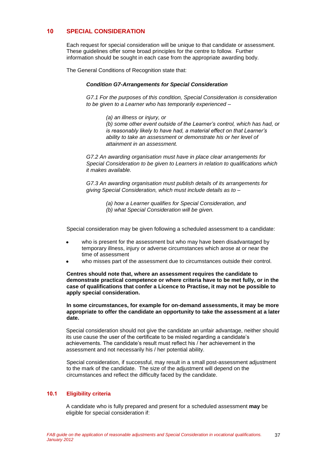### **10 SPECIAL CONSIDERATION**

Each request for special consideration will be unique to that candidate or assessment. These guidelines offer some broad principles for the centre to follow. Further information should be sought in each case from the appropriate awarding body.

The General Conditions of Recognition state that:

#### *Condition G7-Arrangements for Special Consideration*

*G7.1 For the purposes of this condition, Special Consideration is consideration to be given to a Learner who has temporarily experienced –*

*(a) an illness or injury, or*

*(b) some other event outside of the Learner's control, which has had, or is reasonably likely to have had, a material effect on that Learner's ability to take an assessment or demonstrate his or her level of attainment in an assessment.*

*G7.2 An awarding organisation must have in place clear arrangements for Special Consideration to be given to Learners in relation to qualifications which it makes available.*

*G7.3 An awarding organisation must publish details of its arrangements for giving Special Consideration, which must include details as to –*

- *(a) how a Learner qualifies for Special Consideration, and*
- *(b) what Special Consideration will be given.*

Special consideration may be given following a scheduled assessment to a candidate:

- who is present for the assessment but who may have been disadvantaged by temporary illness, injury or adverse circumstances which arose at or near the time of assessment
- who misses part of the assessment due to circumstances outside their control.

**Centres should note that, where an assessment requires the candidate to demonstrate practical competence or where criteria have to be met fully, or in the case of qualifications that confer a Licence to Practise, it may not be possible to apply special consideration.**

**In some circumstances, for example for on-demand assessments, it may be more appropriate to offer the candidate an opportunity to take the assessment at a later date.** 

Special consideration should not give the candidate an unfair advantage, neither should its use cause the user of the certificate to be misled regarding a candidate's achievements. The candidate's result must reflect his / her achievement in the assessment and not necessarily his / her potential ability.

Special consideration, if successful, may result in a small post-assessment adjustment to the mark of the candidate. The size of the adjustment will depend on the circumstances and reflect the difficulty faced by the candidate.

### **10.1 Eligibility criteria**

A candidate who is fully prepared and present for a scheduled assessment **may** be eligible for special consideration if: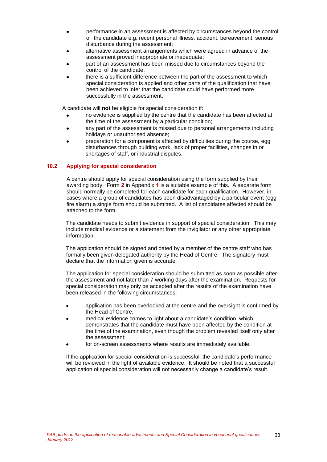- performance in an assessment is affected by circumstances beyond the control of the candidate e.g. recent personal illness, accident, bereavement, serious disturbance during the assessment;
- alternative assessment arrangements which were agreed in advance of the assessment proved inappropriate or inadequate;
- part of an assessment has been missed due to circumstances beyond the control of the candidate;
- there is a sufficient difference between the part of the assessment to which special consideration is applied and other parts of the qualification that have been achieved to infer that the candidate could have performed more successfully in the assessment.

A candidate will **not** be eligible for special consideration if:

- no evidence is supplied by the centre that the candidate has been affected at the time of the assessment by a particular condition;
- any part of the assessment is missed due to personal arrangements including holidays or unauthorised absence;
- preparation for a component is affected by difficulties during the course, egg disturbances through building work, lack of proper facilities, changes in or shortages of staff, or industrial disputes.

### **10.2 Applying for special consideration**

A centre should apply for special consideration using the form supplied by their awarding body. Form **2** in Appendix **1** is a suitable example of this. A separate form should normally be completed for each candidate for each qualification. However, in cases where a group of candidates has been disadvantaged by a particular event (egg fire alarm) a single form should be submitted. A list of candidates affected should be attached to the form.

The candidate needs to submit evidence in support of special consideration. This may include medical evidence or a statement from the invigilator or any other appropriate information.

The application should be signed and dated by a member of the centre staff who has formally been given delegated authority by the Head of Centre. The signatory must declare that the information given is accurate.

The application for special consideration should be submitted as soon as possible after the assessment and not later than 7 working days after the examination. Requests for special consideration may only be accepted after the results of the examination have been released in the following circumstances:

- application has been overlooked at the centre and the oversight is confirmed by the Head of Centre;
- medical evidence comes to light about a candidate's condition, which demonstrates that the candidate must have been affected by the condition at the time of the examination, even though the problem revealed itself only after the assessment;
- for on-screen assessments where results are immediately available.

If the application for special consideration is successful, the candidate's performance will be reviewed in the light of available evidence. It should be noted that a successful application of special consideration will not necessarily change a candidate's result.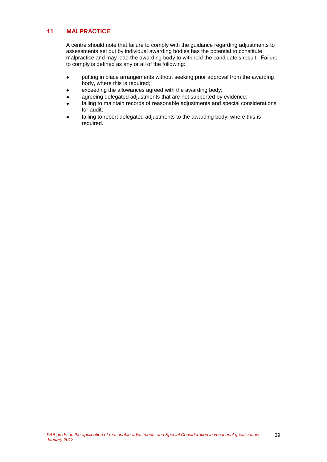### **11 MALPRACTICE**

A centre should note that failure to comply with the guidance regarding adjustments to assessments set out by individual awarding bodies has the potential to constitute malpractice and may lead the awarding body to withhold the candidate's result. Failure to comply is defined as any or all of the following:

- putting in place arrangements without seeking prior approval from the awarding  $\bullet$ body, where this is required;
- exceeding the allowances agreed with the awarding body;
- agreeing delegated adjustments that are not supported by evidence;
- failing to maintain records of reasonable adjustments and special considerations for audit;
- failing to report delegated adjustments to the awarding body, where this is required.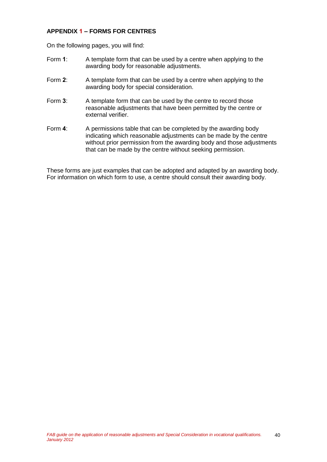### **APPENDIX 1 – FORMS FOR CENTRES**

On the following pages, you will find:

- Form **1**: A template form that can be used by a centre when applying to the awarding body for reasonable adjustments.
- Form **2**: A template form that can be used by a centre when applying to the awarding body for special consideration.
- Form **3**: A template form that can be used by the centre to record those reasonable adjustments that have been permitted by the centre or external verifier.
- Form 4: A permissions table that can be completed by the awarding body indicating which reasonable adjustments can be made by the centre without prior permission from the awarding body and those adjustments that can be made by the centre without seeking permission.

These forms are just examples that can be adopted and adapted by an awarding body. For information on which form to use, a centre should consult their awarding body.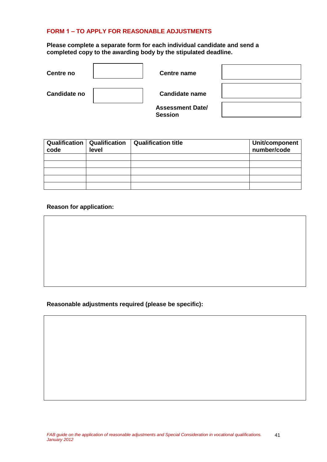### **FORM 1 – TO APPLY FOR REASONABLE ADJUSTMENTS**

**Please complete a separate form for each individual candidate and send a completed copy to the awarding body by the stipulated deadline.**

| Centre no           | <b>Centre name</b>                        |  |
|---------------------|-------------------------------------------|--|
| <b>Candidate no</b> | <b>Candidate name</b>                     |  |
|                     | <b>Assessment Date/</b><br><b>Session</b> |  |

| code | <b>Qualification   Qualification</b><br>level | <b>Qualification title</b> | Unit/component<br>number/code |
|------|-----------------------------------------------|----------------------------|-------------------------------|
|      |                                               |                            |                               |
|      |                                               |                            |                               |
|      |                                               |                            |                               |
|      |                                               |                            |                               |
|      |                                               |                            |                               |

### **Reason for application:**

### **Reasonable adjustments required (please be specific):**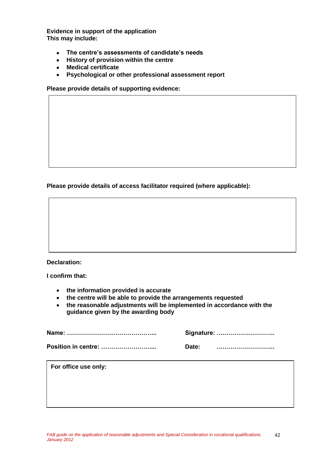**Evidence in support of the application This may include:**

- **The centre's assessments of candidate's needs**  $\bullet$
- $\bullet$ **History of provision within the centre**
- **Medical certificate**
- $\bullet$ **Psychological or other professional assessment report**

**Please provide details of supporting evidence:**

**Please provide details of access facilitator required (where applicable):**



**I confirm that:**

- **the information provided is accurate**
- **the centre will be able to provide the arrangements requested**
- **the reasonable adjustments will be implemented in accordance with the guidance given by the awarding body**

|       | Signature: |
|-------|------------|
| Date: |            |

**For office use only:**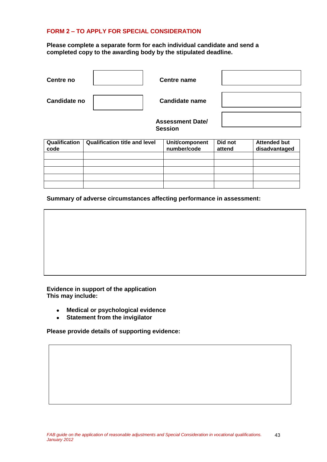### **FORM 2 – TO APPLY FOR SPECIAL CONSIDERATION**

### **Please complete a separate form for each individual candidate and send a completed copy to the awarding body by the stipulated deadline.**

| Centre no           | <b>Centre name</b>                        |  |
|---------------------|-------------------------------------------|--|
| <b>Candidate no</b> | <b>Candidate name</b>                     |  |
|                     | <b>Assessment Date/</b><br><b>Session</b> |  |

| Qualification<br>code | <b>Qualification title and level</b> | Unit/component<br>number/code | Did not<br>attend | <b>Attended but</b><br>disadvantaged |
|-----------------------|--------------------------------------|-------------------------------|-------------------|--------------------------------------|
|                       |                                      |                               |                   |                                      |
|                       |                                      |                               |                   |                                      |
|                       |                                      |                               |                   |                                      |
|                       |                                      |                               |                   |                                      |
|                       |                                      |                               |                   |                                      |

**Summary of adverse circumstances affecting performance in assessment:**

**Evidence in support of the application This may include:**

- **Medical or psychological evidence**  $\bullet$
- **Statement from the invigilator**  $\bullet$

**Please provide details of supporting evidence:**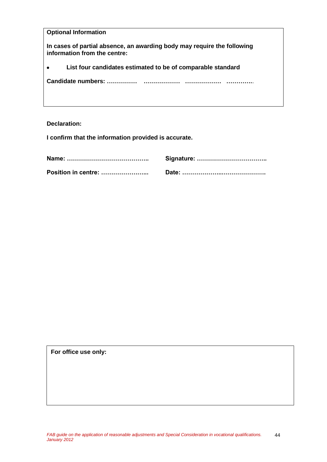| <b>Optional Information</b>                                                                             |
|---------------------------------------------------------------------------------------------------------|
| In cases of partial absence, an awarding body may require the following<br>information from the centre: |
| List four candidates estimated to be of comparable standard                                             |
| Candidate numbers:                                                                                      |
|                                                                                                         |

### **Declaration:**

**I confirm that the information provided is accurate.**

**For office use only:**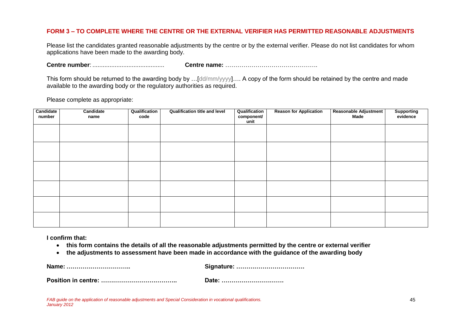### **FORM 3 – TO COMPLETE WHERE THE CENTRE OR THE EXTERNAL VERIFIER HAS PERMITTED REASONABLE ADJUSTMENTS**

Please list the candidates granted reasonable adjustments by the centre or by the external verifier. Please do not list candidates for whom applications have been made to the awarding body.

**Centre number**: .......................................... **Centre name:** ……………………………………….

This form should be returned to the awarding body by …[dd/mm/yyyy]…. A copy of the form should be retained by the centre and made available to the awarding body or the regulatory authorities as required.

Please complete as appropriate:

| Candidate<br>number | Candidate<br>name | Qualification<br>code | <b>Qualification title and level</b> | Qualification<br>component/<br>unit | <b>Reason for Application</b> | Reasonable Adjustment<br>Made | Supporting<br>evidence |
|---------------------|-------------------|-----------------------|--------------------------------------|-------------------------------------|-------------------------------|-------------------------------|------------------------|
|                     |                   |                       |                                      |                                     |                               |                               |                        |
|                     |                   |                       |                                      |                                     |                               |                               |                        |
|                     |                   |                       |                                      |                                     |                               |                               |                        |
|                     |                   |                       |                                      |                                     |                               |                               |                        |
|                     |                   |                       |                                      |                                     |                               |                               |                        |
|                     |                   |                       |                                      |                                     |                               |                               |                        |

**I confirm that:**

- **this form contains the details of all the reasonable adjustments permitted by the centre or external verifier**
- **the adjustments to assessment have been made in accordance with the guidance of the awarding body**  $\bullet$

**Name: ………………………….. Signature: …………………………….**

**Position in centre: ……………………………….. Date: ………………………….**

*FAB guide on the application of reasonable adjustments and Special Consideration in vocational qualifications. January 2012*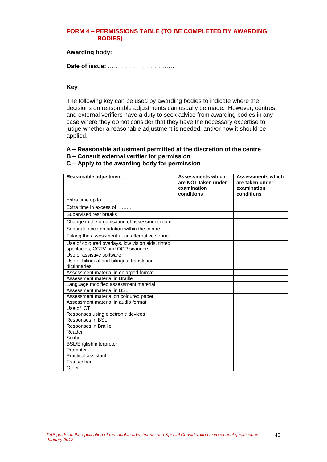### **FORM 4 – PERMISSIONS TABLE (TO BE COMPLETED BY AWARDING BODIES)**

**Awarding body:** ………………………………..

**Date of issue:** ……………………………

### **Key**

The following key can be used by awarding bodies to indicate where the decisions on reasonable adjustments can usually be made. However, centres and external verifiers have a duty to seek advice from awarding bodies in any case where they do not consider that they have the necessary expertise to judge whether a reasonable adjustment is needed, and/or how it should be applied.

### **A – Reasonable adjustment permitted at the discretion of the centre**

**B – Consult external verifier for permission**

### **C – Apply to the awarding body for permission**

| Reasonable adjustment                                      | <b>Assessments which</b><br>are NOT taken under | <b>Assessments which</b><br>are taken under |
|------------------------------------------------------------|-------------------------------------------------|---------------------------------------------|
|                                                            | examination<br>conditions                       | examination<br>conditions                   |
| Extra time up to                                           |                                                 |                                             |
| Extra time in excess of                                    |                                                 |                                             |
| Supervised rest breaks                                     |                                                 |                                             |
| Change in the organisation of assessment room              |                                                 |                                             |
| Separate accommodation within the centre                   |                                                 |                                             |
| Taking the assessment at an alternative venue              |                                                 |                                             |
| Use of coloured overlays, low vision aids, tinted          |                                                 |                                             |
| spectacles, CCTV and OCR scanners                          |                                                 |                                             |
| Use of assistive software                                  |                                                 |                                             |
| Use of bilingual and bilingual translation<br>dictionaries |                                                 |                                             |
| Assessment material in enlarged format                     |                                                 |                                             |
| Assessment material in Braille                             |                                                 |                                             |
| Language modified assessment material                      |                                                 |                                             |
| Assessment material in BSL                                 |                                                 |                                             |
| Assessment material on coloured paper                      |                                                 |                                             |
| Assessment material in audio format                        |                                                 |                                             |
| Use of ICT                                                 |                                                 |                                             |
| Responses using electronic devices                         |                                                 |                                             |
| Responses in BSL                                           |                                                 |                                             |
| <b>Responses in Braille</b>                                |                                                 |                                             |
| Reader                                                     |                                                 |                                             |
| Scribe                                                     |                                                 |                                             |
| <b>BSL/English interpreter</b>                             |                                                 |                                             |
| Prompter                                                   |                                                 |                                             |
| <b>Practical assistant</b>                                 |                                                 |                                             |
| Transcriber                                                |                                                 |                                             |
| Other                                                      |                                                 |                                             |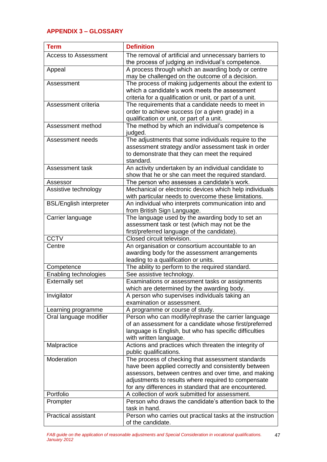## **APPENDIX 3 – GLOSSARY**

| <b>Term</b>                    | <b>Definition</b>                                                                                     |
|--------------------------------|-------------------------------------------------------------------------------------------------------|
| <b>Access to Assessment</b>    | The removal of artificial and unnecessary barriers to                                                 |
|                                | the process of judging an individual's competence.                                                    |
| Appeal                         | A process through which an awarding body or centre<br>may be challenged on the outcome of a decision. |
| Assessment                     | The process of making judgements about the extent to                                                  |
|                                | which a candidate's work meets the assessment                                                         |
|                                | criteria for a qualification or unit, or part of a unit.                                              |
| Assessment criteria            | The requirements that a candidate needs to meet in                                                    |
|                                | order to achieve success (or a given grade) in a                                                      |
|                                | qualification or unit, or part of a unit.                                                             |
| Assessment method              | The method by which an individual's competence is<br>judged.                                          |
| Assessment needs               | The adjustments that some individuals require to the                                                  |
|                                | assessment strategy and/or assessment task in order                                                   |
|                                | to demonstrate that they can meet the required                                                        |
|                                | standard.                                                                                             |
| Assessment task                | An activity undertaken by an individual candidate to                                                  |
|                                | show that he or she can meet the required standard.                                                   |
| Assessor                       | The person who assesses a candidate's work.                                                           |
| Assistive technology           | Mechanical or electronic devices which help individuals                                               |
|                                | with particular needs to overcome these limitations.                                                  |
| <b>BSL/English interpreter</b> | An individual who interprets communication into and                                                   |
|                                | from British Sign Language.                                                                           |
| Carrier language               | The language used by the awarding body to set an                                                      |
|                                | assessment task or test (which may not be the                                                         |
|                                | first/preferred language of the candidate).                                                           |
| <b>CCTV</b>                    | Closed circuit television.                                                                            |
| Centre                         | An organisation or consortium accountable to an                                                       |
|                                | awarding body for the assessment arrangements                                                         |
|                                | leading to a qualification or units.                                                                  |
| Competence                     | The ability to perform to the required standard.                                                      |
| Enabling technologies          | See assistive technology.                                                                             |
| <b>Externally set</b>          | Examinations or assessment tasks or assignments<br>which are determined by the awarding body.         |
| Invigilator                    | A person who supervises individuals taking an                                                         |
|                                | examination or assessment.                                                                            |
| Learning programme             | A programme or course of study.                                                                       |
| Oral language modifier         | Person who can modify/rephrase the carrier language                                                   |
|                                | of an assessment for a candidate whose first/preferred                                                |
|                                | language is English, but who has specific difficulties                                                |
|                                | with written language.                                                                                |
| Malpractice                    | Actions and practices which threaten the integrity of                                                 |
|                                | public qualifications.                                                                                |
| Moderation                     | The process of checking that assessment standards                                                     |
|                                | have been applied correctly and consistently between                                                  |
|                                | assessors, between centres and over time, and making                                                  |
|                                | adjustments to results where required to compensate                                                   |
|                                | for any differences in standard that are encountered.                                                 |
| Portfolio                      | A collection of work submitted for assessment.                                                        |
| Prompter                       | Person who draws the candidate's attention back to the<br>task in hand.                               |
| <b>Practical assistant</b>     | Person who carries out practical tasks at the instruction                                             |
|                                | of the candidate.                                                                                     |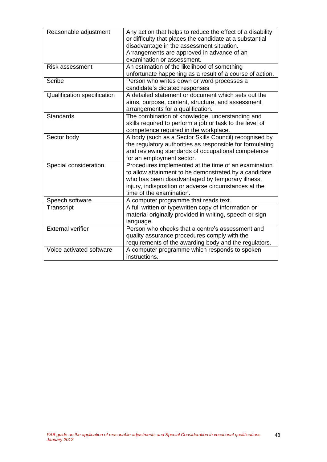| Reasonable adjustment       | Any action that helps to reduce the effect of a disability<br>or difficulty that places the candidate at a substantial<br>disadvantage in the assessment situation.<br>Arrangements are approved in advance of an<br>examination or assessment.        |
|-----------------------------|--------------------------------------------------------------------------------------------------------------------------------------------------------------------------------------------------------------------------------------------------------|
| Risk assessment             | An estimation of the likelihood of something                                                                                                                                                                                                           |
|                             | unfortunate happening as a result of a course of action.                                                                                                                                                                                               |
| <b>Scribe</b>               | Person who writes down or word processes a<br>candidate's dictated responses                                                                                                                                                                           |
| Qualification specification | A detailed statement or document which sets out the<br>aims, purpose, content, structure, and assessment<br>arrangements for a qualification.                                                                                                          |
| Standards                   | The combination of knowledge, understanding and<br>skills required to perform a job or task to the level of<br>competence required in the workplace.                                                                                                   |
| Sector body                 | A body (such as a Sector Skills Council) recognised by<br>the regulatory authorities as responsible for formulating<br>and reviewing standards of occupational competence<br>for an employment sector.                                                 |
| Special consideration       | Procedures implemented at the time of an examination<br>to allow attainment to be demonstrated by a candidate<br>who has been disadvantaged by temporary illness,<br>injury, indisposition or adverse circumstances at the<br>time of the examination. |
| Speech software             | A computer programme that reads text.                                                                                                                                                                                                                  |
| Transcript                  | A full written or typewritten copy of information or<br>material originally provided in writing, speech or sign<br>language.                                                                                                                           |
| <b>External verifier</b>    | Person who checks that a centre's assessment and                                                                                                                                                                                                       |
|                             | quality assurance procedures comply with the                                                                                                                                                                                                           |
|                             | requirements of the awarding body and the regulators.                                                                                                                                                                                                  |
| Voice activated software    | A computer programme which responds to spoken<br>instructions.                                                                                                                                                                                         |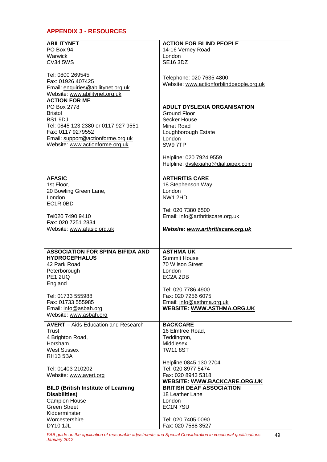## **APPENDIX 3 - RESOURCES**

| <b>ABILITYNET</b>                          | <b>ACTION FOR BLIND PEOPLE</b>           |
|--------------------------------------------|------------------------------------------|
| PO Box 94                                  | 14-16 Verney Road                        |
| Warwick                                    | London                                   |
| <b>CV34 5WS</b>                            | <b>SE16 3DZ</b>                          |
|                                            |                                          |
| Tel: 0800 269545                           |                                          |
| Fax: 01926 407425                          | Telephone: 020 7635 4800                 |
| Email: enquiries@abilitynet.org.uk         | Website: www.actionforblindpeople.org.uk |
| Website: www.abilitynet.org.uk             |                                          |
| <b>ACTION FOR ME</b>                       |                                          |
| PO Box 2778                                | <b>ADULT DYSLEXIA ORGANISATION</b>       |
| <b>Bristol</b>                             |                                          |
|                                            | <b>Ground Floor</b>                      |
| BS1 9DJ                                    | Secker House                             |
| Tel: 0845 123 2380 or 0117 927 9551        | Minet Road                               |
| Fax: 0117 9279552                          | Loughborough Estate                      |
| Email: support@actionforme.org.uk          | London                                   |
| Website: www.actionforme.org.uk            | SW97TP                                   |
|                                            |                                          |
|                                            | Helpline: 020 7924 9559                  |
|                                            | Helpline: dyslexiahq@dial.pipex.com      |
|                                            |                                          |
| <b>AFASIC</b>                              | <b>ARTHRITIS CARE</b>                    |
| 1st Floor,                                 | 18 Stephenson Way                        |
| 20 Bowling Green Lane,                     | London                                   |
| London                                     | <b>NW1 2HD</b>                           |
| EC1R 0BD                                   |                                          |
|                                            | Tel: 020 7380 6500                       |
|                                            |                                          |
| Tel020 7490 9410                           | Email: info@arthritiscare.org.uk         |
| Fax: 020 7251 2834                         |                                          |
| Website: www.afasic.org.uk                 | Website: www.arthritiscare.org.uk        |
|                                            |                                          |
|                                            |                                          |
| <b>ASSOCIATION FOR SPINA BIFIDA AND</b>    | <b>ASTHMAUK</b>                          |
| <b>HYDROCEPHALUS</b>                       | <b>Summit House</b>                      |
| 42 Park Road                               | 70 Wilson Street                         |
| Peterborough                               | London                                   |
| <b>PE1 2UQ</b>                             | EC2A 2DB                                 |
| England                                    |                                          |
|                                            |                                          |
|                                            |                                          |
|                                            | Tel: 020 7786 4900                       |
| Tel: 01733 555988                          | Fax: 020 7256 6075                       |
| Fax: 01733 555985                          | Email: info@asthma.org.uk                |
| Email: info@asbah.org                      | <b>WEBSITE: WWW.ASTHMA.ORG.UK</b>        |
| Website: www.asbah.org                     |                                          |
| <b>AVERT</b> – Aids Education and Research | <b>BACKCARE</b>                          |
| Trust                                      | 16 Elmtree Road,                         |
|                                            |                                          |
| 4 Brighton Road,                           | Teddington,                              |
| Horsham,                                   | Middlesex                                |
| <b>West Sussex</b>                         | <b>TW11 8ST</b>                          |
| <b>RH13 5BA</b>                            |                                          |
|                                            | Helpline: 0845 130 2704                  |
| Tel: 01403 210202                          | Tel: 020 8977 5474                       |
| Website: www.avert.org                     | Fax: 020 8943 5318                       |
|                                            | <b>WEBSITE: WWW.BACKCARE.ORG.UK</b>      |
| <b>BILD (British Institute of Learning</b> | <b>BRITISH DEAF ASSOCIATION</b>          |
| Disabilities)                              | 18 Leather Lane                          |
| <b>Campion House</b>                       | London                                   |
| <b>Green Street</b>                        | EC1N7SU                                  |
| Kidderminster                              |                                          |
| Worcestershire<br><b>DY10 1JL</b>          | Tel: 020 7405 0090<br>Fax: 020 7588 3527 |

49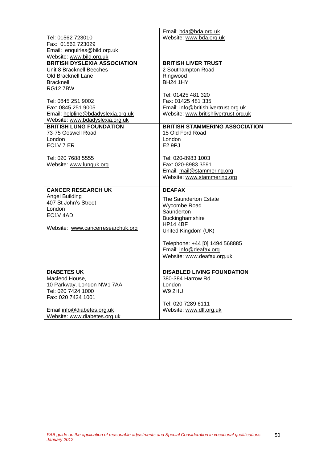|                                                            | Email: bda@bda.org.uk                 |
|------------------------------------------------------------|---------------------------------------|
| Tel: 01562 723010                                          | Website: www.bda.org.uk               |
| Fax: 01562 723029                                          |                                       |
| Email: enquiries@bild.org.uk                               |                                       |
| Website: www.bild.org.uk                                   |                                       |
| <b>BRITISH DYSLEXIA ASSOCIATION</b>                        | <b>BRITISH LIVER TRUST</b>            |
| Unit 8 Bracknell Beeches                                   | 2 Southampton Road                    |
| Old Bracknell Lane                                         | Ringwood                              |
| <b>Bracknell</b>                                           | <b>BH24 1HY</b>                       |
| <b>RG127BW</b>                                             |                                       |
|                                                            | Tel: 01425 481 320                    |
| Tel: 0845 251 9002                                         | Fax: 01425 481 335                    |
| Fax: 0845 251 9005                                         | Email: info@britishlivertrust.org.uk  |
| Email: helpline@bdadyslexia.org.uk                         | Website: www.britishlivertrust.org.uk |
| Website: www.bdadyslexia.org.uk                            |                                       |
| <b>BRITISH LUNG FOUNDATION</b>                             | <b>BRITISH STAMMERING ASSOCIATION</b> |
| 73-75 Goswell Road                                         | 15 Old Ford Road                      |
| London                                                     | London                                |
| EC1V7ER                                                    | <b>E2 9PJ</b>                         |
|                                                            |                                       |
| Tel: 020 7688 5555                                         | Tel: 020-8983 1003                    |
| Website: www.lunguk.org                                    | Fax: 020-8983 3591                    |
|                                                            | Email: mail@stammering.org            |
|                                                            | Website: www.stammering.org           |
|                                                            |                                       |
| <b>CANCER RESEARCH UK</b>                                  | <b>DEAFAX</b>                         |
|                                                            |                                       |
|                                                            |                                       |
| Angel Building                                             | The Saunderton Estate                 |
| 407 St John's Street                                       | Wycombe Road                          |
| London                                                     | Saunderton                            |
| EC1V 4AD                                                   | Buckinghamshire                       |
|                                                            | <b>HP14 4BF</b>                       |
| Website: www.cancerresearchuk.org                          | United Kingdom (UK)                   |
|                                                            |                                       |
|                                                            | Telephone: +44 [0] 1494 568885        |
|                                                            | Email: info@deafax.org                |
|                                                            | Website: www.deafax.org.uk            |
|                                                            |                                       |
|                                                            |                                       |
| <b>DIABETES UK</b>                                         | <b>DISABLED LIVING FOUNDATION</b>     |
| Macleod House,                                             | 380-384 Harrow Rd                     |
| 10 Parkway, London NW1 7AA                                 | London                                |
| Tel: 020 7424 1000                                         | <b>W9 2HU</b>                         |
| Fax: 020 7424 1001                                         |                                       |
|                                                            | Tel: 020 7289 6111                    |
| Email info@diabetes.org.uk<br>Website: www.diabetes.org.uk | Website: www.dlf.org.uk               |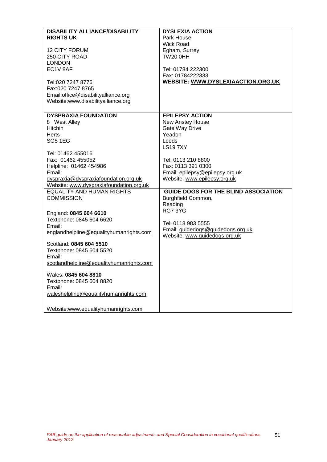| <b>DISABILITY ALLIANCE/DISABILITY</b>    | <b>DYSLEXIA ACTION</b>                      |
|------------------------------------------|---------------------------------------------|
|                                          |                                             |
| <b>RIGHTS UK</b>                         | Park House,                                 |
|                                          | <b>Wick Road</b>                            |
| 12 CITY FORUM                            | Egham, Surrey                               |
| 250 CITY ROAD                            | <b>TW20 0HH</b>                             |
| <b>LONDON</b>                            |                                             |
| EC1V 8AF                                 | Tel: 01784 222300                           |
|                                          | Fax: 01784222333                            |
| Tel:020 7247 8776                        | <b>WEBSITE: WWW.DYSLEXIAACTION.ORG.UK</b>   |
| Fax:020 7247 8765                        |                                             |
| Email:office@disabilityalliance.org      |                                             |
| Website:www.disabilityalliance.org       |                                             |
|                                          |                                             |
| <b>DYSPRAXIA FOUNDATION</b>              | <b>EPILEPSY ACTION</b>                      |
| 8 West Alley                             | New Anstey House                            |
| <b>Hitchin</b>                           | Gate Way Drive                              |
| <b>Herts</b>                             | Yeadon                                      |
| <b>SG5 1EG</b>                           | Leeds                                       |
|                                          | <b>LS197XY</b>                              |
|                                          |                                             |
| Tel: 01462 455016                        |                                             |
| Fax: 01462 455052                        | Tel: 0113 210 8800                          |
| Helpline: 01462 454986                   | Fax: 0113 391 0300                          |
| Email:                                   | Email: epilepsy@epilepsy.org.uk             |
| dyspraxia@dyspraxiafoundation.org.uk     | Website: www.epilepsy.org.uk                |
| Website: www.dyspraxiafoundation.org.uk  |                                             |
| <b>EQUALITY AND HUMAN RIGHTS</b>         | <b>GUIDE DOGS FOR THE BLIND ASSOCIATION</b> |
| <b>COMMISSION</b>                        | Burghfield Common,                          |
|                                          | Reading                                     |
|                                          | RG73YG                                      |
| England: 0845 604 6610                   |                                             |
| Textphone: 0845 604 6620                 | Tel: 0118 983 5555                          |
| Email:                                   | Email: guidedogs@guidedogs.org.uk           |
| englandhelpline@equalityhumanrights.com  | Website: www.guidedogs.org.uk               |
|                                          |                                             |
| Scotland: 0845 604 5510                  |                                             |
| Textphone: 0845 604 5520                 |                                             |
| Email:                                   |                                             |
| scotlandhelpline@equalityhumanrights.com |                                             |
| Wales: 0845 604 8810                     |                                             |
| Textphone: 0845 604 8820                 |                                             |
| Email:                                   |                                             |
|                                          |                                             |
| waleshelpline@equalityhumanrights.com    |                                             |
|                                          |                                             |
| Website:www.equalityhumanrights.com      |                                             |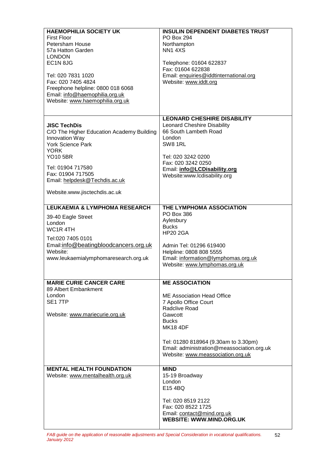| <b>HAEMOPHILIA SOCIETY UK</b><br><b>First Floor</b><br>Petersham House<br>57a Hatton Garden<br><b>LONDON</b><br>EC1N 8JG<br>Tel: 020 7831 1020<br>Fax: 020 7405 4824<br>Freephone helpline: 0800 018 6068<br>Email: info@haemophilia.org.uk<br>Website: www.haemophilia.org.uk | <b>INSULIN DEPENDENT DIABETES TRUST</b><br>PO Box 294<br>Northampton<br><b>NN14XS</b><br>Telephone: 01604 622837<br>Fax: 01604 622838<br>Email: enquiries@iddtinternational.org<br>Website: www.iddt.org                                                               |
|--------------------------------------------------------------------------------------------------------------------------------------------------------------------------------------------------------------------------------------------------------------------------------|------------------------------------------------------------------------------------------------------------------------------------------------------------------------------------------------------------------------------------------------------------------------|
| <b>JISC TechDis</b><br>C/O The Higher Education Academy Building<br>Innovation Way<br><b>York Science Park</b><br><b>YORK</b><br><b>YO10 5BR</b><br>Tel: 01904 717580<br>Fax: 01904 717505<br>Email: helpdesk@Techdis.ac.uk<br>Website.www.jisctechdis.ac.uk                   | <b>LEONARD CHESHIRE DISABILITY</b><br><b>Leonard Cheshire Disability</b><br>66 South Lambeth Road<br>London<br>SW8 1RL<br>Tel: 020 3242 0200<br>Fax: 020 3242 0250<br>Email: info@LCDisability.org<br>Website:www.lcdisability.org                                     |
| <b>LEUKAEMIA &amp; LYMPHOMA RESEARCH</b><br>39-40 Eagle Street<br>London<br>WC <sub>1</sub> R <sub>4</sub> TH<br>Tel:020 7405 0101<br>Email:info@beatingbloodcancers.org.uk<br>Website:<br>www.leukaemialymphomaresearch.org.uk                                                | THE LYMPHOMA ASSOCIATION<br><b>PO Box 386</b><br>Aylesbury<br><b>Bucks</b><br><b>HP20 2GA</b><br>Admin Tel: 01296 619400<br>Helpline: 0808 808 5555<br>Email: information@lymphomas.org.uk<br>Website: www.lymphomas.org.uk                                            |
| <b>MARIE CURIE CANCER CARE</b><br>89 Albert Embankment<br>London<br>SE17TP<br>Website: www.mariecurie.org.uk                                                                                                                                                                   | <b>ME ASSOCIATION</b><br>ME Association Head Office<br>7 Apollo Office Court<br>Radclive Road<br>Gawcott<br><b>Bucks</b><br><b>MK18 4DF</b><br>Tel: 01280 818964 (9.30am to 3.30pm)<br>Email: administration@meassociation.org.uk<br>Website: www.meassociation.org.uk |
| <b>MENTAL HEALTH FOUNDATION</b><br>Website: www.mentalhealth.org.uk                                                                                                                                                                                                            | <b>MIND</b><br>15-19 Broadway<br>London<br>E15 4BQ<br>Tel: 020 8519 2122<br>Fax: 020 8522 1725<br>Email: contact@mind.org.uk<br><b>WEBSITE: WWW.MIND.ORG.UK</b>                                                                                                        |